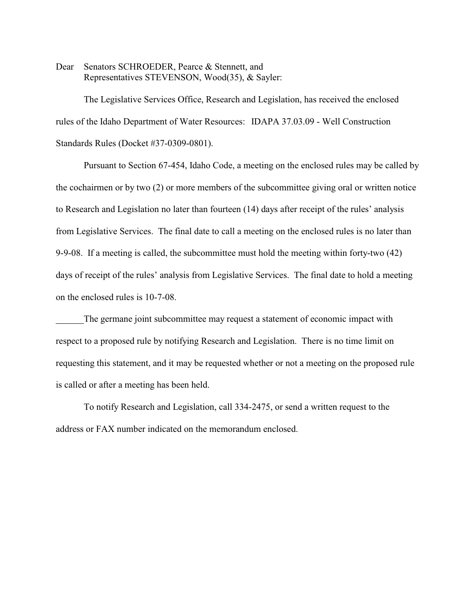Dear Senators SCHROEDER, Pearce & Stennett, and Representatives STEVENSON, Wood(35), & Sayler:

The Legislative Services Office, Research and Legislation, has received the enclosed rules of the Idaho Department of Water Resources: IDAPA 37.03.09 - Well Construction Standards Rules (Docket #37-0309-0801).

Pursuant to Section 67-454, Idaho Code, a meeting on the enclosed rules may be called by the cochairmen or by two (2) or more members of the subcommittee giving oral or written notice to Research and Legislation no later than fourteen (14) days after receipt of the rules' analysis from Legislative Services. The final date to call a meeting on the enclosed rules is no later than 9-9-08. If a meeting is called, the subcommittee must hold the meeting within forty-two (42) days of receipt of the rules' analysis from Legislative Services. The final date to hold a meeting on the enclosed rules is 10-7-08.

The germane joint subcommittee may request a statement of economic impact with respect to a proposed rule by notifying Research and Legislation. There is no time limit on requesting this statement, and it may be requested whether or not a meeting on the proposed rule is called or after a meeting has been held.

To notify Research and Legislation, call 334-2475, or send a written request to the address or FAX number indicated on the memorandum enclosed.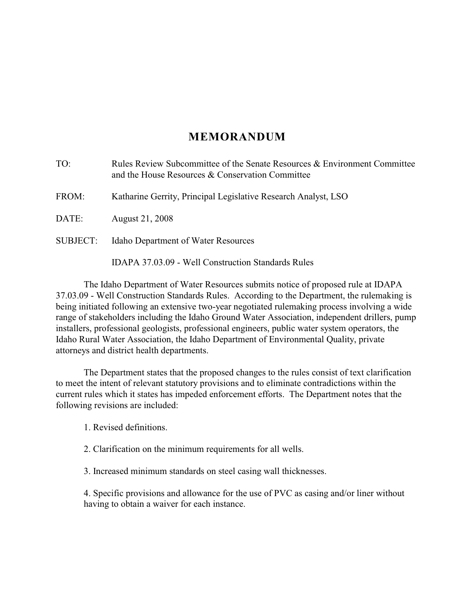# **MEMORANDUM**

| TO:      | Rules Review Subcommittee of the Senate Resources & Environment Committee<br>and the House Resources & Conservation Committee |
|----------|-------------------------------------------------------------------------------------------------------------------------------|
| FROM:    | Katharine Gerrity, Principal Legislative Research Analyst, LSO                                                                |
| DATE:    | August 21, 2008                                                                                                               |
| SUBJECT: | <b>Idaho Department of Water Resources</b>                                                                                    |
|          | IDAPA 37.03.09 - Well Construction Standards Rules                                                                            |

The Idaho Department of Water Resources submits notice of proposed rule at IDAPA 37.03.09 - Well Construction Standards Rules. According to the Department, the rulemaking is being initiated following an extensive two-year negotiated rulemaking process involving a wide range of stakeholders including the Idaho Ground Water Association, independent drillers, pump installers, professional geologists, professional engineers, public water system operators, the Idaho Rural Water Association, the Idaho Department of Environmental Quality, private attorneys and district health departments.

The Department states that the proposed changes to the rules consist of text clarification to meet the intent of relevant statutory provisions and to eliminate contradictions within the current rules which it states has impeded enforcement efforts. The Department notes that the following revisions are included:

1. Revised definitions.

2. Clarification on the minimum requirements for all wells.

3. Increased minimum standards on steel casing wall thicknesses.

4. Specific provisions and allowance for the use of PVC as casing and/or liner without having to obtain a waiver for each instance.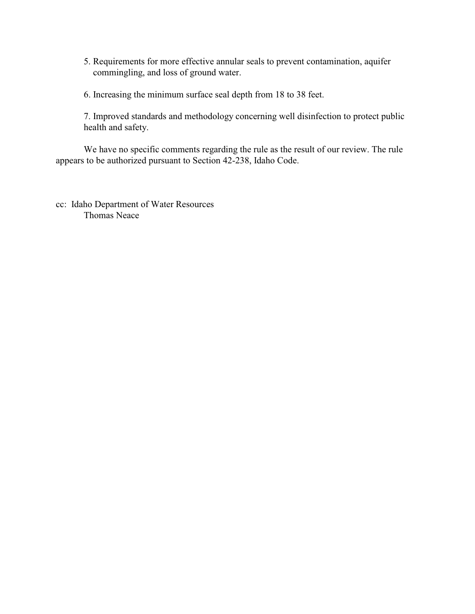- 5. Requirements for more effective annular seals to prevent contamination, aquifer commingling, and loss of ground water.
- 6. Increasing the minimum surface seal depth from 18 to 38 feet.

7. Improved standards and methodology concerning well disinfection to protect public health and safety.

We have no specific comments regarding the rule as the result of our review. The rule appears to be authorized pursuant to Section 42-238, Idaho Code.

cc: Idaho Department of Water Resources Thomas Neace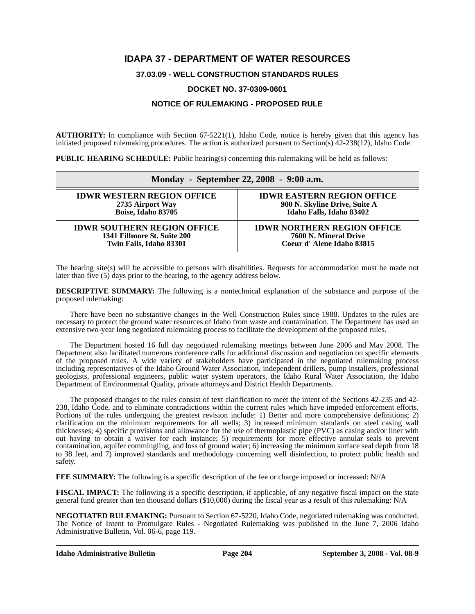### **IDAPA 37 - DEPARTMENT OF WATER RESOURCES**

### **37.03.09 - WELL CONSTRUCTION STANDARDS RULES**

### **DOCKET NO. 37-0309-0601**

### **NOTICE OF RULEMAKING - PROPOSED RULE**

**AUTHORITY:** In compliance with Section 67-5221(1), Idaho Code, notice is hereby given that this agency has initiated proposed rulemaking procedures. The action is authorized pursuant to Section(s) 42-238(12), Idaho Code.

**PUBLIC HEARING SCHEDULE:** Public hearing(s) concerning this rulemaking will be held as follows:

|                                    | Monday - September 22, 2008 - 9:00 a.m. |
|------------------------------------|-----------------------------------------|
| <b>IDWR WESTERN REGION OFFICE</b>  | <b>IDWR EASTERN REGION OFFICE</b>       |
| 2735 Airport Way                   | 900 N. Skyline Drive, Suite A           |
| Boise, Idaho 83705                 | Idaho Falls, Idaho 83402                |
| <b>IDWR SOUTHERN REGION OFFICE</b> | <b>IDWR NORTHERN REGION OFFICE</b>      |
| 1341 Fillmore St. Suite 200        | 7600 N. Mineral Drive                   |
| Twin Falls, Idaho 83301            | Coeur d'Alene Idaho 83815               |

The hearing site(s) will be accessible to persons with disabilities. Requests for accommodation must be made not later than five (5) days prior to the hearing, to the agency address below.

**DESCRIPTIVE SUMMARY:** The following is a nontechnical explanation of the substance and purpose of the proposed rulemaking:

There have been no substantive changes in the Well Construction Rules since 1988. Updates to the rules are necessary to protect the ground water resources of Idaho from waste and contamination. The Department has used an extensive two-year long negotiated rulemaking process to facilitate the development of the proposed rules.

The Department hosted 16 full day negotiated rulemaking meetings between June 2006 and May 2008. The Department also facilitated numerous conference calls for additional discussion and negotiation on specific elements of the proposed rules. A wide variety of stakeholders have participated in the negotiated rulemaking process including representatives of the Idaho Ground Water Association, independent drillers, pump installers, professional geologists, professional engineers, public water system operators, the Idaho Rural Water Association, the Idaho Department of Environmental Quality, private attorneys and District Health Departments.

The proposed changes to the rules consist of text clarification to meet the intent of the Sections 42-235 and 42- 238, Idaho Code, and to eliminate contradictions within the current rules which have impeded enforcement efforts. Portions of the rules undergoing the greatest revision include: 1) Better and more comprehensive definitions; 2) clarification on the minimum requirements for all wells; 3) increased minimum standards on steel casing wall thicknesses; 4) specific provisions and allowance for the use of thermoplastic pipe (PVC) as casing and/or liner with out having to obtain a waiver for each instance; 5) requirements for more effective annular seals to prevent contamination, aquifer commingling, and loss of ground water; 6) increasing the minimum surface seal depth from 18 to 38 feet, and 7) improved standards and methodology concerning well disinfection, to protect public health and safety.

**FEE SUMMARY:** The following is a specific description of the fee or charge imposed or increased: N//A

**FISCAL IMPACT:** The following is a specific description, if applicable, of any negative fiscal impact on the state general fund greater than ten thousand dollars (\$10,000) during the fiscal year as a result of this rulemaking: N/A

**[NEGOTIATED RULEMAKING:](http://adm.idaho.gov/adminrules/bulletin/bul/06jun.pdf#P.119)** Pursuant to Section 67-5220, Idaho Code, negotiated rulemaking was conducted. The Notice of Intent to Promulgate Rules - Negotiated Rulemaking was published in the June 7, 2006 Idaho Administrative Bulletin, Vol. 06-6, page 119*.*

**Idaho Administrative Bulletin Page 204 September 3, 2008 - Vol. 08-9**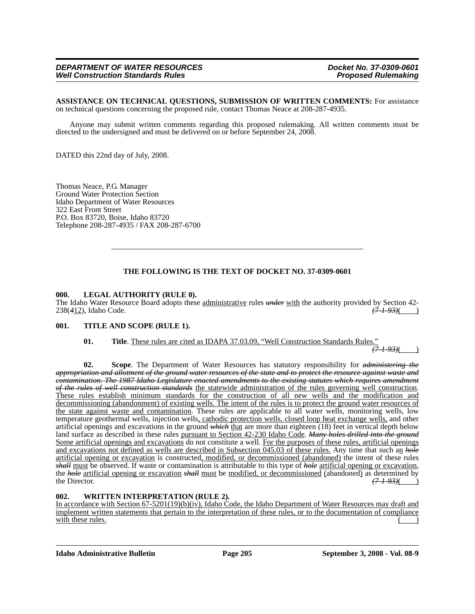**ASSISTANCE ON TECHNICAL QUESTIONS, SUBMISSION OF WRITTEN COMMENTS:** For assistance on technical questions concerning the proposed rule, contact Thomas Neace at 208-287-4935.

Anyone may submit written comments regarding this proposed rulemaking. All written comments must be directed to the undersigned and must be delivered on or before September 24, 2008.

DATED this 22nd day of July, 2008.

Thomas Neace, P.G. Manager Ground Water Protection Section Idaho Department of Water Resources 322 East Front Street P.O. Box 83720, Boise, Idaho 83720 Telephone 208-287-4935 / FAX 208-287-6700

### **THE FOLLOWING IS THE TEXT OF DOCKET NO. 37-0309-0601**

### **000. LEGAL AUTHORITY (RULE 0).**

The Idaho Water Resource Board adopts these <u>administrative</u> rules *under* with the authority provided by Section 42-<br>238(412), Idaho Code. (41.93) 238(412), Idaho Code.

### **001. TITLE AND SCOPE (RULE 1).**

### **01. Title**. These rules are cited as IDAPA 37.03.09, "Well Construction Standards Rules."

*(7-1-93)*( )

**02. Scope**. The Department of Water Resources has statutory responsibility for *administering the appropriation and allotment of the ground water resources of the state and to protect the resource against waste and contamination. The 1987 Idaho Legislature enacted amendments to the existing statutes which requires amendment of the rules of well construction standards* the statewide administration of the rules governing well construction. These rules establish minimum standards for the construction of all new wells and the modification and decommissioning (abandonment) of existing wells. The intent of the rules is to protect the ground water resources of the state against waste and contamination. These rules are applicable to all water wells, monitoring wells, low temperature geothermal wells, injection wells, cathodic protection wells, closed loop heat exchange wells, and other artificial openings and excavations in the ground *which* that are more than eighteen (18) feet in vertical depth below land surface as described in these rules pursuant to Section 42-230 Idaho Code. *Many holes drilled into the ground* Some artificial openings and excavations do not constitute a well. For the purposes of these rules, artificial openings and excavations not defined as wells are described in Subsection 045.03 of these rules. Any time that such an *hole* artificial opening or excavation is constructed, modified, or decommissioned (abandoned) the intent of these rules *shall* must be observed. If waste or contamination is attributable to this type of *hole* artificial opening or excavation, the *hole* artificial opening or excavation *shall* must be modified, or decommissioned (abandoned) as determined by the Director. (7-1-93)( the Director.  $\frac{(7-1-93)}{(1-1)(7-1)}$ 

### **002. WRITTEN INTERPRETATION (RULE 2).**

In accordance with Section 67-5201(19)(b)(iv), Idaho Code, the Idaho Department of Water Resources may draft and implement written statements that pertain to the interpretation of these rules, or to the documentation of compliance with these rules.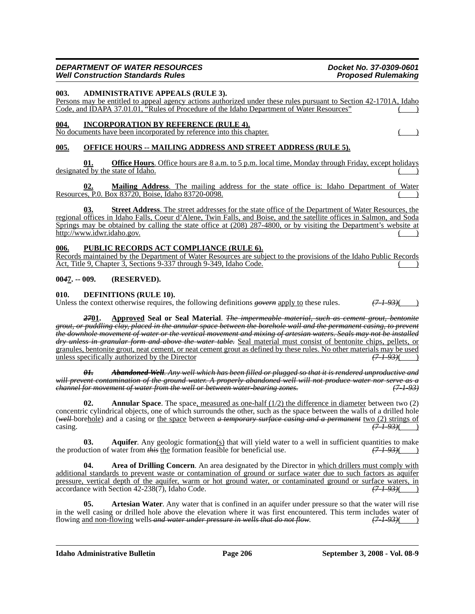### **003. ADMINISTRATIVE APPEALS (RULE 3).**

Persons may be entitled to appeal agency actions authorized under these rules pursuant to Section 42-1701A, Idaho Code, and IDAPA 37.01.01, "Rules of Procedure of the Idaho Department of Water Resources"

### **004. INCORPORATION BY REFERENCE (RULE 4).**

No documents have been incorporated by reference into this chapter. ( )

### **005. OFFICE HOURS -- MAILING ADDRESS AND STREET ADDRESS (RULE 5).**

**01. Office Hours**. Office hours are 8 a.m. to 5 p.m. local time, Monday through Friday, except holidays designated by the state of Idaho.

**02. Mailing Address**. The mailing address for the state office is: Idaho Department of Water Resources, P.0. Box 83720, Boise, Idaho 83720-0098.

**03. Street Address**. The street addresses for the state office of the Department of Water Resources, the reg[ional offices in Idaho Falls, Coeur d'Alene, Twin Falls, and Boise, and the satellite offices in Salmon, and Soda](http://www.idwr.idaho.gov) [Springs may be obtained by calling the state office at \(208\) 287-4800, or by visiting the Department's website at](http://www.idwr.idaho.gov) http://www.idwr.idaho.gov. ()

### **006. PUBLIC RECORDS ACT COMPLIANCE (RULE 6).**

Records maintained by the Department of Water Resources are subject to the provisions of the Idaho Public Records Act, Title 9, Chapter 3, Sections 9-337 through 9-349, Idaho Code.

### **00***4***7. -- 009. (RESERVED).**

**010. DEFINITIONS (RULE 10).**

Unless the context otherwise requires, the following definitions  $\frac{\text{govern}}{\text{gopl}}$  to these rules.  $\left(\frac{7-1-93}{2}\right)$ 

*27***01. Approved Seal or Seal Material**. *The impermeable material, such as cement grout, bentonite grout, or puddling clay, placed in the annular space between the borehole wall and the permanent casing, to prevent the downhole movement of water or the vertical movement and mixing of artesian waters. Seals may not be installed dry unless in granular form and above the water table.* Seal material must consist of bentonite chips, pellets, or granules, bentonite grout, neat cement, or neat cement grout as defined by these rules. No other materials may be used<br>unless specifically authorized by the Director  $(7 + 93)($ unless specifically authorized by the Director *(7-1-93)*( )

*01. Abandoned Well. Any well which has been filled or plugged so that it is rendered unproductive and will prevent contamination of the ground water. A properly abandoned well will not produce water nor serve as a channel for movement of water from the well or between water-bearing zones.* 

**Annular Space**. The space, measured as one-half (1/2) the difference in diameter between two (2) concentric cylindrical objects, one of which surrounds the other, such as the space between the walls of a drilled hole (*well* borehole) and a casing or the space between *a temporary surface casing and a permanent* two (2) strings of casing.  $\frac{(71-93)(1)}{2}$ 

**03.** Aquifer. Any geologic formation(s) that will yield water to a well in sufficient quantities to make the production of water from  $\frac{h}{k}$  the formation feasible for beneficial use.  $(7.1-93)$ 

**04.** Area of Drilling Concern. An area designated by the Director in which drillers must comply with additional standards to prevent waste or contamination of ground or surface water due to such factors as aquifer pressure, vertical depth of the aquifer, warm or hot ground water, or contaminated ground or surface waters, in accordance with Section 42-238(7), Idaho Code. accordance with Section 42-238(7), Idaho Code.

**05.** Artesian Water. Any water that is confined in an aquifer under pressure so that the water will rise in the well casing or drilled hole above the elevation where it was first encountered. This term includes water of flowing and non-flowing wells and water under pressure in wells that do not flow.  $(71.93)($ flowing and non-flowing wells-and water under pressure in wells that do not flow.

**Idaho Administrative Bulletin Page 206 September 3, 2008 - Vol. 08-9**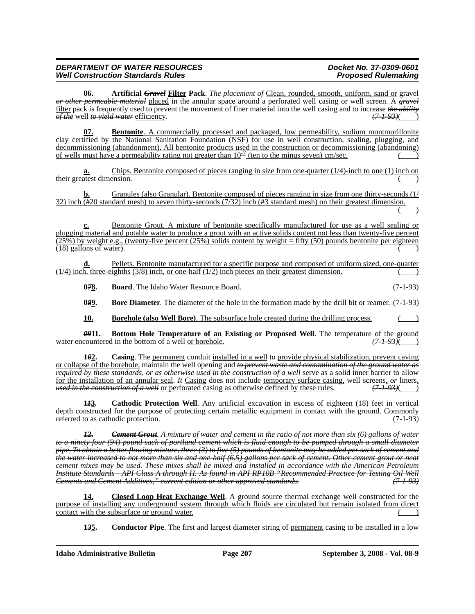**06. Artificial** *Gravel* **Filter Pack**. *The placement of* Clean, rounded, smooth, uniform, sand or gravel *or other permeable material* placed in the annular space around a perforated well casing or well screen. A *gravel* filter pack is frequently used to prevent the movement of finer material into the well casing and to increase *the ability of the* well *to yield water* efficiency.

**Bentonite**. A commercially processed and packaged, low permeability, sodium montmorillonite clay certified by the National Sanitation Foundation (NSF) for use in well construction, sealing, plugging, and decommissioning (abandonment). All bentonite products used in the construction or decommissioning (abandoning) of wells must have a permeability rating not greater than  $10^{-7}$  (ten to the minus seven) cm/sec.

**a.** Chips. Bentonite composed of pieces ranging in size from one-quarter (1/4)-inch to one (1) inch on their greatest dimension.

**b.** Granules (also Granular). Bentonite composed of pieces ranging in size from one thirty-seconds (1/ 32) inch (#20 standard mesh) to seven thirty-seconds (7/32) inch (#3 standard mesh) on their greatest dimension.  $($   $)$ 

**c.** Bentonite Grout. A mixture of bentonite specifically manufactured for use as a well sealing or plugging material and potable water to produce a grout with an active solids content not less than twenty-five percent  $(25\%)$  by weight e.g., (twenty-five percent (25%) solids content by weight = fifty (50) pounds bentonite per eighteen  $(18)$  gallons of water).

Pellets. Bentonite manufactured for a specific purpose and composed of uniform sized, one-quarter  $(1/4)$  inch, three-eighths  $(3/8)$  inch, or one-half  $(1/2)$  inch pieces on their greatest dimension.

**078.** Board. The Idaho Water Resource Board. (7-1-93)

**0***8***9. Bore Diameter**. The diameter of the hole in the formation made by the drill bit or reamer. (7-1-93)

**10. Borehole (also Well Bore)**. The subsurface hole created during the drilling process.

*09***11. Bottom Hole Temperature of an Existing or Proposed Well**. The temperature of the ground water encountered in the bottom of a well <u>or borehole</u>.  $(7-1-93)$  ()

**1***0***2. Casing**. The permanent conduit installed in a well to provide physical stabilization, prevent caving or collapse of the borehole, maintain the well opening and *to prevent waste and contamination of the ground water as required by these standards, or as otherwise used in the construction of a well* serve as a solid inner barrier to allow for the installation of an annular seal. *It* Casing does not include temporary surface casing, well screens, *or* liners, used in the construction of a well or perforated casing as otherwise defined by these rules.  $(7-1$ *used in the construction of a well* or perforated casing as otherwise defined by these rules.

**1***1***3. Cathodic Protection Well**. Any artificial excavation in excess of eighteen (18) feet in vertical depth constructed for the purpose of protecting certain metallic equipment in contact with the ground. Commonly referred to as cathodic protection. (7-1-93)

*12. Cement Grout. A mixture of water and cement in the ratio of not more than six (6) gallons of water to a ninety-four (94) pound sack of portland cement which is fluid enough to be pumped through a small-diameter pipe. To obtain a better flowing mixture, three (3) to five (5) pounds of bentonite may be added per sack of cement and the water increased to not more than six and one-half (6.5) gallons per sack of cement. Other cement grout or neat cement mixes may be used. These mixes shall be mixed and installed in accordance with the American Petroleum Institute Standards - API Class A through H. As found in API RP10B "Recommended Practice for Testing Oil Well Cements and Cement Additives," current edition or other approved standards.* 

**14. Closed Loop Heat Exchange Well**. A ground source thermal exchange well constructed for the purpose of installing any underground system through which fluids are circulated but remain isolated from direct contact with the subsurface or ground water.

**1***3***5. Conductor Pipe**. The first and largest diameter string of permanent casing to be installed in a low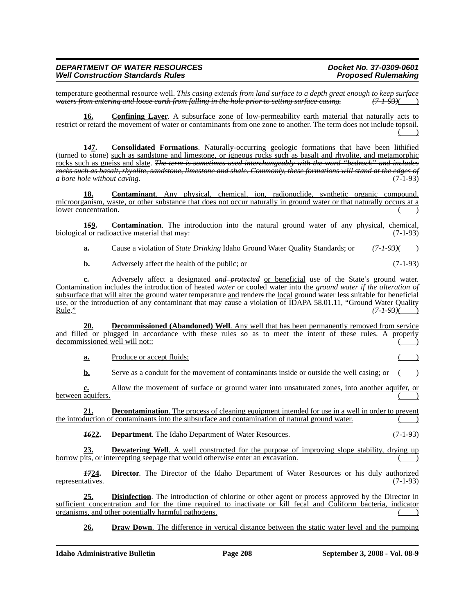temperature geothermal resource well. *This casing extends from land surface to a depth great enough to keep surface*<br>
waters from entering and loose earth from falling in the hole prior to setting surface casing. (7.1.93) *waters from entering and loose earth from falling in the hole prior to setting surface casing. (7-1-93)*( )

**16. Confining Layer**. A subsurface zone of low-permeability earth material that naturally acts to restrict or retard the movement of water or contaminants from one zone to another. The term does not include topsoil.  $\begin{pmatrix} 1 & 1 \\ 1 & 1 \end{pmatrix}$ 

**1***4***7. Consolidated Formations**. Naturally-occurring geologic formations that have been lithified (turned to stone) such as sandstone and limestone, or igneous rocks such as basalt and rhyolite, and metamorphic rocks such as gneiss and slate. *The term is sometimes used interchangeably with the word "bedrock" and includes rocks such as basalt, rhyolite, sandstone, limestone and shale. Commonly, these formations will stand at the edges of a bore hole without caving.* (7-1-93)

**18. Contaminant**. Any physical, chemical, ion, radionuclide, synthetic organic compound, microorganism, waste, or other substance that does not occur naturally in ground water or that naturally occurs at a lower concentration.

**1***5***9. Contamination**. The introduction into the natural ground water of any physical, chemical, biological or radioactive material that may: (7-1-93)

**a.** Cause a violation of *State Drinking* Idaho Ground Water Quality Standards; or  $(7-1-93)($ 

**b.** Adversely affect the health of the public; or (7-1-93)

**c.** Adversely affect a designated *and protected* or beneficial use of the State's ground water. Contamination includes the introduction of heated *water* or cooled water into the *ground water if the alteration of* subsurface that will alter the ground water temperature and render*s* the local ground water less suitable for beneficial use, or <u>the introduction of any contaminant that may cause a violation of IDAPA 58.01.11, "Ground Water Quality Rule."</u>  $(71.93)($ Rule." *(7-1-93)*( )

**20. Decommissioned (Abandoned) Well**. Any well that has been permanently removed from service and filled or plugged in accordance with these rules so as to meet the intent of these rules. A properly decommissioned well will not::

**a.** Produce or accept fluids;

**b.** Serve as a conduit for the movement of contaminants inside or outside the well casing; or

**c.** Allow the movement of surface or ground water into unsaturated zones, into another aquifer, or between aquifers.

**21. Decontamination**. The process of cleaning equipment intended for use in a well in order to prevent the introduction of contaminants into the subsurface and contamination of natural ground water. ( )

**1622. Department**. The Idaho Department of Water Resources. (7-1-93)

**23. Dewatering Well**. A well constructed for the purpose of improving slope stability, drying up borrow pits, or intercepting seepage that would otherwise enter an excavation.

*17***24. Director**. The Director of the Idaho Department of Water Resources or his duly authorized representatives. (7-1-93)

**25. Disinfection**. The introduction of chlorine or other agent or process approved by the Director in sufficient concentration and for the time required to inactivate or kill fecal and Coliform bacteria, indicator organisms, and other potentially harmful pathogens.

**26. Draw Down**. The difference in vertical distance between the static water level and the pumping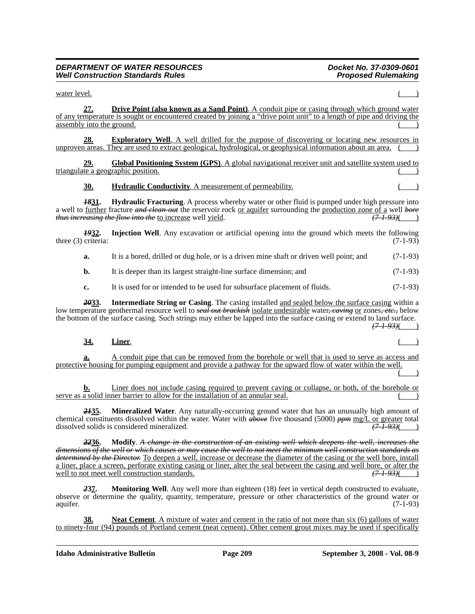$\mu$  water level. **27. Drive Point (also known as a Sand Point)**. A conduit pipe or casing through which ground water of any temperature is sought or encountered created by joining a "drive point unit" to a length of pipe and driving the assembly into the ground. **28. Exploratory Well**. A well drilled for the purpose of discovering or locating new resources in unproven areas. They are used to extract geological, hydrological, or geophysical information about an area. **29. Global Positioning System (GPS)**. A global navigational receiver unit and satellite system used to triangulate a geographic position. **30. Hydraulic Conductivity**. A measurement of permeability. ( ) *18***31. Hydraulic Fracturing**. A process whereby water or other fluid is pumped under high pressure into a well to <u>further</u> fracture *and clean-out* the reservoir rock <u>or aquifer</u> surrounding the production zone of a well *bore thus increasing the flow into the* to increase well yield. (7.1.93)( *thus increasing the flow into the to increase well yield. 19***32. Injection Well**. Any excavation or artificial opening into the ground which meets the following three (3) criteria:  $(7-1-93)$ **a.** It is a bored, drilled or dug hole, or is a driven mine shaft or driven well point; and (7-1-93) **b.** It is deeper than its largest straight-line surface dimension; and  $(7-1-93)$ **c.** It is used for or intended to be used for subsurface placement of fluids. (7-1-93) *20***33. Intermediate String or Casing**. The casing installed and sealed below the surface casing within a low temperature geothermal resource well to *seal out brackish* isolate undesirable water, *caving* or zones, *etc.,* below the bottom of the surface casing. Such strings may either be lapped into the surface casing or extend to land surface. *(7-1-93)*( ) **34. Liner**. ( ) **a.** A conduit pipe that can be removed from the borehole or well that is used to serve as access and protective housing for pumping equipment and provide a pathway for the upward flow of water within the well.  $($   $)$ **b.** Liner does not include casing required to prevent caving or collapse, or both, of the borehole or  $s$ erve as a solid inner barrier to allow for the installation of an annular seal. *21***35. Mineralized Water**. Any naturally-occurring ground water that has an unusually high amount of chemical constituents dissolved within the water. Water with *above* five thousand (5000) *ppm* mg/L or greater total dissolved solids is considered mineralized. dissolved solids is considered mineralized. *(7-1-93)*( ) *22***36. Modify**. *A change in the construction of an existing well which deepens the well, increases the dimensions of the well or which causes or may cause the well to not meet the minimum well construction standards as determined by the Director.* To deepen a well, increase or decrease the diameter of the casing or the well bore, install a liner, place a screen, perforate existing casing or liner, alter the seal between the casing and well bore, or alter the well to not meet well construction standards.  $(7193)($ well to not meet well construction standards. *2***37. Monitoring Well**. Any well more than eighteen (18) feet in vertical depth constructed to evaluate, observe or determine the quality, quantity, temperature, pressure or other characteristics of the ground water or aquifer. (7-1-93) **38. Neat Cement**. A mixture of water and cement in the ratio of not more than six (6) gallons of water to ninety-four (94) pounds of Portland cement (neat cement). Other cement grout mixes may be used if specifically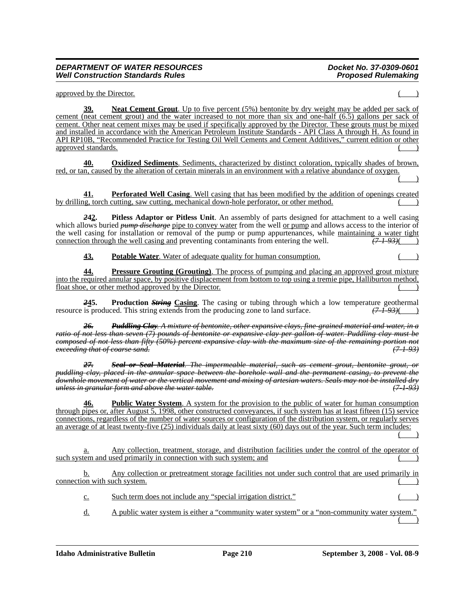approved by the Director.

**Neat Cement Grout**. Up to five percent (5%) bentonite by dry weight may be added per sack of cement (neat cement grout) and the water increased to not more than six and one-half (6.5) gallons per sack of cement. Other neat cement mixes may be used if specifically approved by the Director. These grouts must be mixed and installed in accordance with the American Petroleum Institute Standards - API Class A through H. As found in API RP10B, "Recommended Practice for Testing Oil Well Cements and Cement Additives," current edition or other approved standards.

**40. Oxidized Sediments**. Sediments, characterized by distinct coloration, typically shades of brown, red, or tan, caused by the alteration of certain minerals in an environment with a relative abundance of oxygen.  $($   $)$ 

**Perforated Well Casing.** Well casing that has been modified by the addition of openings created by drilling, torch cutting, saw cutting, mechanical down-hole perforator, or other method. ( )

*2***42. Pitless Adaptor or Pitless Unit**. An assembly of parts designed for attachment to a well casing which allows buried *pump discharge* pipe to convey water from the well or pump and allows access to the interior of the well casing for installation or removal of the pump or pump appurtenances, while maintaining a water tight connection through the well casing and preventing contaminants from entering the well.  $\overline{(7+93)}$ connection through the well casing and preventing contaminants from entering the well.

**43. Potable Water**. Water of adequate quality for human consumption.

**44. Pressure Grouting (Grouting)**. The process of pumping and placing an approved grout mixture into the required annular space, by positive displacement from bottom to top using a tremie pipe, Halliburton method, float shoe, or other method approved by the Director.

**245.** Production *String* Casing. The casing or tubing through which a low temperature geothermal is produced. This string extends from the producing zone to land surface.  $(7 + 93)($ resource is produced. This string extends from the producing zone to land surface.

*26. Puddling Clay. A mixture of bentonite, other expansive clays, fine-grained material and water, in a ratio of not less than seven (7) pounds of bentonite or expansive clay per gallon of water. Puddling clay must be composed of not less than fifty (50%) percent expansive clay with the maximum size of the remaining portion not exceeding that of coarse sand. (7-1-93)*

*27. Seal or Seal Material. The impermeable material, such as cement grout, bentonite grout, or puddling clay, placed in the annular space between the borehole wall and the permanent casing, to prevent the downhole movement of water or the vertical movement and mixing of artesian waters. Seals may not be installed dry unless in granular form and above the water table.* 

**46. Public Water System**. A system for the provision to the public of water for human consumption through pipes or, after August 5, 1998, other constructed conveyances, if such system has at least fifteen (15) service connections, regardless of the number of water sources or configuration of the distribution system, or regularly serves an average of at least twenty-five (25) individuals daily at least sixty (60) days out of the year. Such term includes:  $($   $)$ 

a. Any collection, treatment, storage, and distribution facilities under the control of the operator of such system and used primarily in connection with such system; and

b. Any collection or pretreatment storage facilities not under such control that are used primarily in connection with such system.

c. Such term does not include any "special irrigation district."

d. A public water system is either a "community water system" or a "non-community water system.  $($  )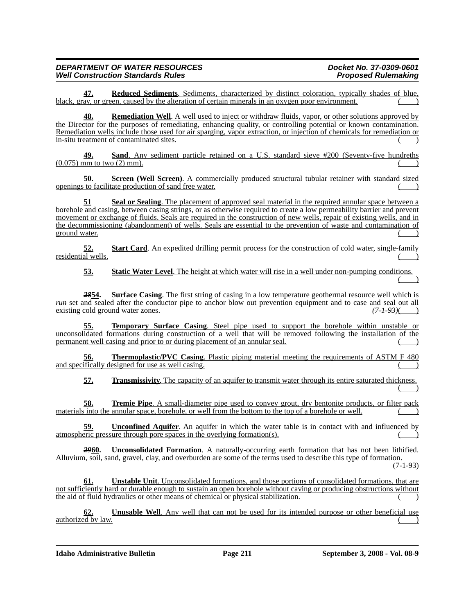**47. Reduced Sediments**. Sediments, characterized by distinct coloration, typically shades of blue, black, gray, or green, caused by the alteration of certain minerals in an oxygen poor environment.

**48. Remediation Well**. A well used to inject or withdraw fluids, vapor, or other solutions approved by the Director for the purposes of remediating, enhancing quality, or controlling potential or known contamination. Remediation wells include those used for air sparging, vapor extraction, or injection of chemicals for remediation or in-situ treatment of contaminated sites.

**49. Sand**. Any sediment particle retained on a U.S. standard sieve #200 (Seventy-five hundreths  $(0.075)$  mm to two  $(2)$  mm).

**50. Screen (Well Screen)**. A commercially produced structural tubular retainer with standard sized openings to facilitate production of sand free water.

**51 Seal or Sealing**. The placement of approved seal material in the required annular space between a borehole and casing, between casing strings, or as otherwise required to create a low permeability barrier and prevent movement or exchange of fluids. Seals are required in the construction of new wells, repair of existing wells, and in the decommissioning (abandonment) of wells. Seals are essential to the prevention of waste and contamination of ground water. (a)

**52. Start Card**. An expedited drilling permit process for the construction of cold water, single-family residential wells.

**53. Static Water Level**. The height at which water will rise in a well under non-pumping conditions.  $($   $)$ 

*28***54. Surface Casing**. The first string of casing in a low temperature geothermal resource well which is *run* set and sealed after the conductor pipe to anchor blow out prevention equipment and to <u>case and</u> seal out all existing cold ground water zones. existing cold ground water zones.

**55. Temporary Surface Casing**. Steel pipe used to support the borehole within unstable or unconsolidated formations during construction of a well that will be removed following the installation of the permanent well casing and prior to or during placement of an annular seal.

**56. Thermoplastic/PVC Casing**. Plastic piping material meeting the requirements of ASTM F 480 and specifically designed for use as well casing.

**57. Transmissivity**. The capacity of an aquifer to transmit water through its entire saturated thickness.  $($   $)$ 

**58. Tremie Pipe**. A small-diameter pipe used to convey grout, dry bentonite products, or filter pack materials into the annular space, borehole, or well from the bottom to the top of a borehole or well.

**59. Unconfined Aquifer**. An aquifer in which the water table is in contact with and influenced by atmospheric pressure through pore spaces in the overlying formation(s).

*29***60. Unconsolidated Formation**. A naturally-occurring earth formation that has not been lithified. Alluvium, soil, sand, gravel, clay, and overburden are some of the terms used to describe this type of formation. (7-1-93)

**61. Unstable Unit**. Unconsolidated formations, and those portions of consolidated formations, that are not sufficiently hard or durable enough to sustain an open borehole without caving or producing obstructions without the aid of fluid hydraulics or other means of chemical or physical stabilization.

**62. Unusable Well**. Any well that can not be used for its intended purpose or other beneficial use authorized by law.

**Idaho Administrative Bulletin Page 211 September 3, 2008 - Vol. 08-9**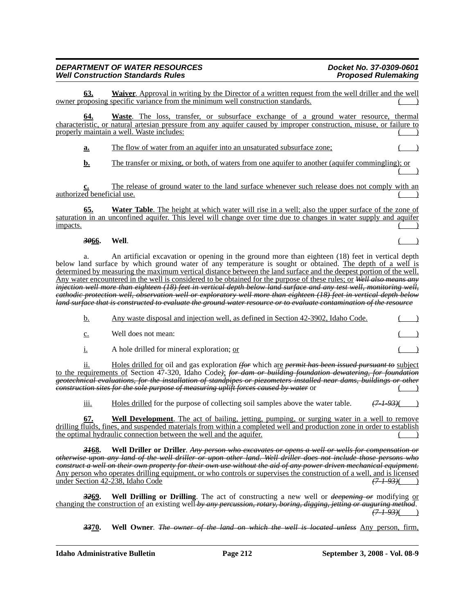**63. Waiver**. Approval in writing by the Director of a written request from the well driller and the well owner proposing specific variance from the minimum well construction standards.

**64. Waste**. The loss, transfer, or subsurface exchange of a ground water resource, thermal characteristic, or natural artesian pressure from any aquifer caused by improper construction, misuse, or failure to properly maintain a well. Waste includes:

**a.** The flow of water from an aquifer into an unsaturated subsurface zone;

**b.** The transfer or mixing, or both, of waters from one aquifer to another (aquifer commingling); or  $($  )

**c.** The release of ground water to the land surface whenever such release does not comply with an authorized beneficial use. ( )

**65. Water Table**. The height at which water will rise in a well; also the upper surface of the zone of saturation in an unconfined aquifer. This level will change over time due to changes in water supply and aquifer  $\frac{1}{2}$  impacts.

### *30***66. Well**. ( )

a. An artificial excavation or opening in the ground more than eighteen (18) feet in vertical depth below land surface by which ground water of any temperature is sought or obtained. The depth of a well is determined by measuring the maximum vertical distance between the land surface and the deepest portion of the well. Any water encountered in the well is considered to be obtained for the purpose of these rules; or *Well also means any injection well more than eighteen (18) feet in vertical depth below land surface and any test well, monitoring well, cathodic protection well, observation well or exploratory well more than eighteen (18) feet in vertical depth below land surface that is constructed to evaluate the ground water resource or to evaluate contamination of the resource*

| b. | Any waste disposal and injection well, as defined in Section 42-3902, Idaho Code. |  |
|----|-----------------------------------------------------------------------------------|--|
| c. | Well does not mean:                                                               |  |
|    | A hole drilled for mineral exploration; or                                        |  |
|    |                                                                                   |  |

ii. Holes drilled for oil and gas exploration *(for* which are *permit has been issued pursuant to* subject to the requirements of Section 47-320, Idaho Code*)*; *for dam or building foundation dewatering, for foundation geotechnical evaluations, for the installation of standpipes or piezometers installed near dams, buildings or other construction sites for the sole purpose of measuring uplift forces caused by water* or  $($ 

iii. Holes drilled for the purpose of collecting soil samples above the water table. *(7-1-93)*( )

**67. Well Development**. The act of bailing, jetting, pumping, or surging water in a well to remove drilling fluids, fines, and suspended materials from within a completed well and production zone in order to establish the optimal hydraulic connection between the well and the aquifer.

*31***68. Well Driller or Driller**. *Any person who excavates or opens a well or wells for compensation or otherwise upon any land of the well driller or upon other land. Well driller does not include those persons who construct a well on their own property for their own use without the aid of any power driven mechanical equipment.* Any person who operates drilling equipment, or who controls or supervises the construction of a well, and is licensed under Section 42-238, Idaho Code *(7-1-93)*( )

*32***69. Well Drilling or Drilling**. The act of constructing a new well or *deepening or* modifying or changing the construction of an existing well *by any percussion, rotary, boring, digging, jetting or auguring method*. *(7-1-93)*( )

*33***70. Well Owner**. *The owner of the land on which the well is located unless* Any person, firm,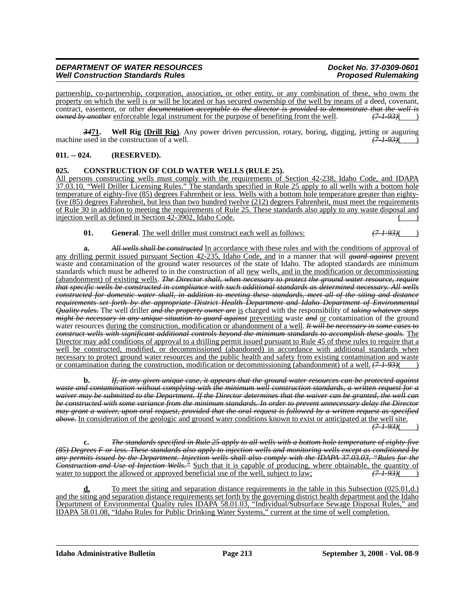partnership, co-partnership, corporation, association, or other entity, or any combination of these, who owns the property on which the well is or will be located or has secured ownership of the well by means of a deed, covenant, contract, easement, or other *documentation acceptable to the director is provided to demonstrate that the well is*<br>
<u>*owned by another*</u> enforceable legal instrument for the purpose of benefiting from the well. (7-1-93)( *owned by another* enforceable legal instrument for the purpose of benefiting from the well.

*34***71. Well Rig (Drill Rig)**. Any power driven percussion, rotary, boring, digging, jetting or auguring machine used in the construction of a well.

### **011. -- 024. (RESERVED).**

### **025. CONSTRUCTION OF COLD WATER WELLS (RULE 25).**

All persons constructing wells must comply with the requirements of Section 42-238, Idaho Code, and IDAPA 37.03.10, "Well Driller Licensing Rules." The standards specified in Rule 25 apply to all wells with a bottom hole temperature of eighty-five (85) degrees Fahrenheit or less. Wells with a bottom hole temperature greater than eightyfive (85) degrees Fahrenheit, but less than two hundred twelve (212) degrees Fahrenheit, must meet the requirements of Rule 30 in addition to meeting the requirements of Rule 25. These standards also apply to any waste disposal and injection well as defined in Section  $42-3902$ , Idaho Code. ( )

**01. General**. The well driller must construct each well as follows: *(7-1-93)*( )

**a.** *All wells shall be constructed* In accordance with these rules and with the conditions of approval of any drilling permit issued pursuant Section 42-235, Idaho Code, and in a manner that will *guard against* prevent waste and contamination of the ground water resources of the state of Idaho. The adopted standards are minimum standards which must be adhered to in the construction of all new wells, and in the modification or decommissioning (abandonment) of existing wells. *The Director shall, when necessary to protect the ground water resource, require that specific wells be constructed in compliance with such additional standards as determined necessary. All wells constructed for domestic water shall, in addition to meeting these standards, meet all of the siting and distance requirements set forth by the appropriate District Health Department and Idaho Department of Environmental Quality rules.* The well driller *and the property owner are* is charged with the responsibility of *taking whatever steps might be necessary in any unique situation to guard against* preventing waste *and* or contamination of the ground water resources during the construction, modification or abandonment of a well. *It will be necessary in some cases to construct wells with significant additional controls beyond the minimum standards to accomplish these goals.* The Director may add conditions of approval to a drilling permit issued pursuant to Rule 45 of these rules to require that a well be constructed, modified, or decommissioned (abandoned) in accordance with additional standards when necessary to protect ground water resources and the public health and safety from existing contamination and waste or contamination during the construction, modification or decommissioning (abandonment) of a well. *(7-1-93)*( )

**b.** *If, in any given unique case, it appears that the ground water resources can be protected against waste and contamination without complying with the minimum well construction standards, a written request for a waiver may be submitted to the Department. If the Director determines that the waiver can be granted, the well can be constructed with some variance from the minimum standards. In order to prevent unnecessary delay the Director may grant a waiver, upon oral request, provided that the oral request is followed by a written request as specified above.* In consideration of the geologic and ground water conditions known to exist or anticipated at the well site.  $\sqrt{(7+93)}$ 

**c.** *The standards specified in Rule 25 apply to all wells with a bottom hole temperature of eighty-five (85) Degrees F or less. These standards also apply to injection wells and monitoring wells except as conditioned by any permits issued by the Department. Injection wells shall also comply with the IDAPA 37.03.03, "Rules for the Construction and Use of Injection Wells.*<sup>35</sup> Such that it is capable of producing, where obtainable, the quantity of water to support the allowed or approved beneficial use of the well, subject to law;  $(7193)($ water to support the allowed or approved beneficial use of the well, subject to law;

**d.** To meet the siting and separation distance requirements in the table in this Subsection (025.01,d.) and the siting and separation distance requirements set forth by the governing district health department and the Idaho Department of Environmental Quality rules IDAPA 58.01.03, "Individual/Subsurface Sewage Disposal Rules," and IDAPA 58.01.08, "Idaho Rules for Public Drinking Water Systems," current at the time of well completion.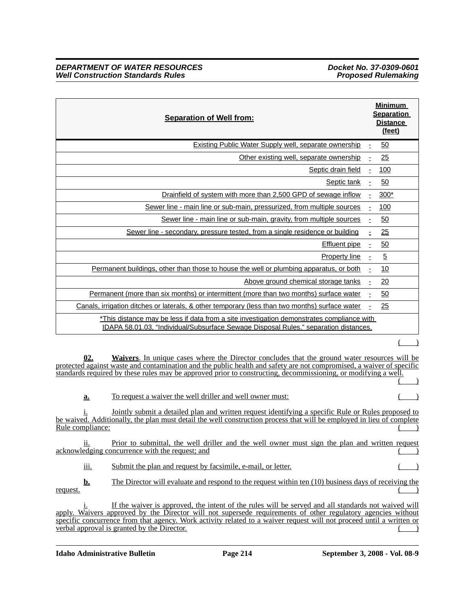| <b>Separation of Well from:</b>                                                                                                                                                   |    | <b>Minimum</b><br><b>Separation</b><br><b>Distance</b><br>(feet) |
|-----------------------------------------------------------------------------------------------------------------------------------------------------------------------------------|----|------------------------------------------------------------------|
| Existing Public Water Supply well, separate ownership                                                                                                                             | Ė. | <u>50</u>                                                        |
| Other existing well, separate ownership                                                                                                                                           |    | 25                                                               |
| Septic drain field                                                                                                                                                                | -  | 100                                                              |
| Septic tank                                                                                                                                                                       | -  | 50                                                               |
| Drainfield of system with more than 2,500 GPD of sewage inflow                                                                                                                    | ۰  | $300*$                                                           |
| Sewer line - main line or sub-main, pressurized, from multiple sources                                                                                                            |    | 100                                                              |
| Sewer line - main line or sub-main, gravity, from multiple sources                                                                                                                | ۰  | 50                                                               |
| Sewer line - secondary, pressure tested, from a single residence or building                                                                                                      |    | 25                                                               |
| <b>Effluent</b> pipe                                                                                                                                                              | -  | 50                                                               |
| <b>Property line</b>                                                                                                                                                              | Ė. | $\overline{5}$                                                   |
| Permanent buildings, other than those to house the well or plumbing apparatus, or both                                                                                            |    | 10                                                               |
| Above ground chemical storage tanks                                                                                                                                               |    | 20                                                               |
| Permanent (more than six months) or intermittent (more than two months) surface water                                                                                             |    | 50                                                               |
| Canals, irrigation ditches or laterals, & other temporary (less than two months) surface water                                                                                    | -  | 25                                                               |
| *This distance may be less if data from a site investigation demonstrates compliance with<br>IDAPA 58.01.03, "Individual/Subsurface Sewage Disposal Rules," separation distances. |    |                                                                  |

 $($   $)$ 

**02. Waivers**. In unique cases where the Director concludes that the ground water resources will be protected against waste and contamination and the public health and safety are not compromised, a waiver of specific standards required by these rules may be approved prior to constructing, decommissioning, or modifying a well.  $($   $)$ 

**a.** To request a waiver the well driller and well owner must:

Jointly submit a detailed plan and written request identifying a specific Rule or Rules proposed to be waived. Additionally, the plan must detail the well construction process that will be employed in lieu of complete Rule compliance:

ii. Prior to submittal, the well driller and the well owner must sign the plan and written request acknowledging concurrence with the request; and

iii. Submit the plan and request by facsimile, e-mail, or letter.

**b.** The Director will evaluate and respond to the request within ten (10) business days of receiving the  $r = \frac{r}{r}$ 

If the waiver is approved, the intent of the rules will be served and all standards not waived will apply. Waivers approved by the Director will not supersede requirements of other regulatory agencies without specific concurrence from that agency. Work activity related to a waiver request will not proceed until a written or  $\alpha$  verbal approval is granted by the Director.

**Idaho Administrative Bulletin Page 214 September 3, 2008 - Vol. 08-9**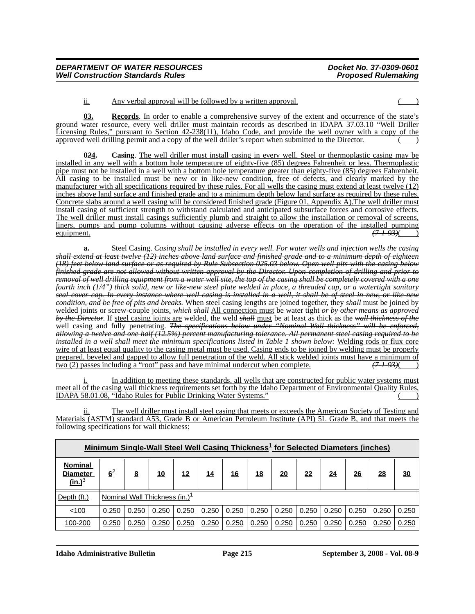ii. Any verbal approval will be followed by a written approval.  $($ )

**03. Records**. In order to enable a comprehensive survey of the extent and occurrence of the state's ground water resource, every well driller must maintain records as described in IDAPA 37.03.10 "Well Driller Licensing Rules," pursuant to Section 42-238(11), Idaho Code, and provide the well owner with a copy of the approved well drilling permit and a copy of the well driller's report when submitted to the Director.

**0***2***4. Casing**. The well driller must install casing in every well. Steel or thermoplastic casing may be installed in any well with a bottom hole temperature of eighty-five (85) degrees Fahrenheit or less. Thermoplastic pipe must not be installed in a well with a bottom hole temperature greater than eighty-five (85) degrees Fahrenheit. All casing to be installed must be new or in like-new condition, free of defects, and clearly marked by the manufacturer with all specifications required by these rules. For all wells the casing must extend at least twelve (12) inches above land surface and finished grade and to a minimum depth below land surface as required by these rules. Concrete slabs around a well casing will be considered finished grade (Figure 01, Appendix A).The well driller must install casing of sufficient strength to withstand calculated and anticipated subsurface forces and corrosive effects. The well driller must install casings sufficiently plumb and straight to allow the installation or removal of screens, liners, pumps and pump columns without causing adverse effects on the operation of the installed pumping equipment. equipment. *(7-1-93)*( )

**a.** Steel Casing. *Casing shall be installed in every well. For water wells and injection wells the casing shall extend at least twelve (12) inches above land surface and finished grade and to a minimum depth of eighteen (18) feet below land surface or as required by Rule Subsection 025.03 below. Open well pits with the casing below finished grade are not allowed without written approval by the Director. Upon completion of drilling and prior to removal of well drilling equipment from a water well site, the top of the casing shall be completely covered with a one fourth inch (1/4") thick solid, new or like-new steel plate welded in place, a threaded cap, or a watertight sanitary seal cover cap. In every instance where well casing is installed in a well, it shall be of steel in new, or like-new condition, and be free of pits and breaks.* When steel casing lengths are joined together, they *shall* must be joined by welded joints or screw-couple joints. *which shall* All connection must be water tight *or by other means as approved by the Director*. If steel casing joints are welded, the weld *shall* must be at least as thick as the *wall thickness of the* well casing and fully penetrating. The specifications below under "Nominal Wall thickness" will be enforced, *allowing a twelve and one half (12.5%) percent manufacturing tolerance. All permanent steel casing required to be installed in a well shall meet the minimum specifications listed in Table 1 shown below:* Welding rods or flux core wire of at least equal quality to the casing metal must be used. Casing ends to be joined by welding must be properly prepared, beveled and gapped to allow full penetration of the weld. All stick welded joints must have a minimum of two (2) passes including a "root" pass and have minimal undercut when complete. *(7-1-93)*( )

i. In addition to meeting these standards, all wells that are constructed for public water systems must meet all of the casing wall thickness requirements set forth by the Idaho Department of Environmental Quality Rules, IDAPA 58.01.08, "Idaho Rules for Public Drinking Water Systems." ( )

ii. The well driller must install steel casing that meets or exceeds the American Society of Testing and Materials (ASTM) standard A53, Grade B or American Petroleum Institute (API) 5L Grade B, and that meets the following specifications for wall thickness:

|                                                       | Minimum Single-Wall Steel Well Casing Thickness <sup>1</sup> for Selected Diameters (inches) |                                           |            |            |            |            |            |           |           |           |           |           |           |
|-------------------------------------------------------|----------------------------------------------------------------------------------------------|-------------------------------------------|------------|------------|------------|------------|------------|-----------|-----------|-----------|-----------|-----------|-----------|
| <b>Nominal</b><br><b>Diameter</b><br>$(\text{in.})^3$ | 6 <sup>2</sup>                                                                               | <u>8</u>                                  | <u> 10</u> | <u> 12</u> | <u> 14</u> | <u> 16</u> | <u> 18</u> | <u>20</u> | <u>22</u> | <u>24</u> | <u>26</u> | <u>28</u> | <u>30</u> |
| Depth (ft.)                                           |                                                                                              | Nominal Wall Thickness (in.) <sup>1</sup> |            |            |            |            |            |           |           |           |           |           |           |
| < 100                                                 | 0.250                                                                                        | 0.250                                     | 0.250      | 0.250      | 0.250      | 0.250      | 0.250      | 0.250     | 0.250     | 0.250     | 0.250     | 0.250     | 0.250     |
| 100-200                                               | 0.250                                                                                        | 0.250                                     | 0.250      | 0.250      | 0.250      | 0.250      | 0.250      | 0.250     | 0.250     | 0.250     | 0.250     | 0.250     | 0.250     |

**Idaho Administrative Bulletin Page 215 September 3, 2008 - Vol. 08-9**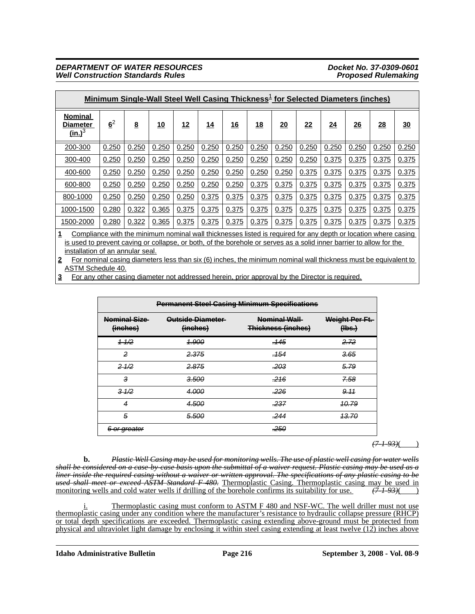|                                                                                                                                                                                                                                                                                                                                                                                                                 | <u>Minimum Single-Wall Steel Well Casing Thickness<sup>1</sup> for Selected Diameters (inches)</u> |                 |           |       |            |            |       |       |       |       |       |           |       |
|-----------------------------------------------------------------------------------------------------------------------------------------------------------------------------------------------------------------------------------------------------------------------------------------------------------------------------------------------------------------------------------------------------------------|----------------------------------------------------------------------------------------------------|-----------------|-----------|-------|------------|------------|-------|-------|-------|-------|-------|-----------|-------|
| <b>Nominal</b><br>Diameter<br>(in.) <sup>3</sup>                                                                                                                                                                                                                                                                                                                                                                | $6^2$                                                                                              | $\underline{8}$ | <u>10</u> | 12    | <u> 14</u> | <u> 16</u> | 18    | 20    | 22    | 24    | 26    | <u>28</u> | 30    |
| 200-300                                                                                                                                                                                                                                                                                                                                                                                                         | 0.250                                                                                              | 0.250           | 0.250     | 0.250 | 0.250      | 0.250      | 0.250 | 0.250 | 0.250 | 0.250 | 0.250 | 0.250     | 0.250 |
| 300-400                                                                                                                                                                                                                                                                                                                                                                                                         | 0.250                                                                                              | 0.250           | 0.250     | 0.250 | 0.250      | 0.250      | 0.250 | 0.250 | 0.250 | 0.375 | 0.375 | 0.375     | 0.375 |
| 400-600                                                                                                                                                                                                                                                                                                                                                                                                         | 0.250                                                                                              | 0.250           | 0.250     | 0.250 | 0.250      | 0.250      | 0.250 | 0.250 | 0.375 | 0.375 | 0.375 | 0.375     | 0.375 |
| 600-800                                                                                                                                                                                                                                                                                                                                                                                                         | 0.250                                                                                              | 0.250           | 0.250     | 0.250 | 0.250      | 0.250      | 0.375 | 0.375 | 0.375 | 0.375 | 0.375 | 0.375     | 0.375 |
| 800-1000                                                                                                                                                                                                                                                                                                                                                                                                        | 0.250                                                                                              | 0.250           | 0.250     | 0.250 | 0.375      | 0.375      | 0.375 | 0.375 | 0.375 | 0.375 | 0.375 | 0.375     | 0.375 |
| 1000-1500                                                                                                                                                                                                                                                                                                                                                                                                       | 0.280                                                                                              | 0.322           | 0.365     | 0.375 | 0.375      | 0.375      | 0.375 | 0.375 | 0.375 | 0.375 | 0.375 | 0.375     | 0.375 |
| 1500-2000                                                                                                                                                                                                                                                                                                                                                                                                       | 0.280                                                                                              | 0.322           | 0.365     | 0.375 | 0.375      | 0.375      | 0.375 | 0.375 | 0.375 | 0.375 | 0.375 | 0.375     | 0.375 |
| Compliance with the minimum nominal wall thicknesses listed is required for any depth or location where casing<br>is used to prevent caving or collapse, or both, of the borehole or serves as a solid inner barrier to allow for the<br>installation of an annular seal.<br>For nominal casing diameters less than six $(6)$ inches the minimum nominal wall thickness must be equivalent to<br>$\overline{2}$ |                                                                                                    |                 |           |       |            |            |       |       |       |       |       |           |       |

**2** For nominal casing diameters less than six (6) inches, the minimum nominal wall thickness must be equivalent to ASTM Schedule 40.

**3** For any other casing diameter not addressed herein, prior approval by the Director is required.

|                                 | <b>Permanent Steel Casing Minimum Specifications</b> |                                    |                          |  |  |  |  |  |
|---------------------------------|------------------------------------------------------|------------------------------------|--------------------------|--|--|--|--|--|
| <b>Nominal Size</b><br>(inches) | Outside Diameter<br>(inches)                         | Nominal Wall<br>Thickness (inches) | Weight Per Ft.<br>(Hbs.) |  |  |  |  |  |
| $+1/2$                          | <u> 1.900</u>                                        | <del>.145</del>                    | 2.72                     |  |  |  |  |  |
| 2                               | <del>2.375</del>                                     | . 154                              | 3.65                     |  |  |  |  |  |
| $2 - 1/2$                       | 2.875                                                | .203                               | 5.79                     |  |  |  |  |  |
| 3                               | 3.500                                                | .216                               | <b>7.58</b>              |  |  |  |  |  |
| $3-1/2$                         | 4.000                                                | <del>.226</del>                    | 9.11                     |  |  |  |  |  |
| 4                               | 4.500                                                | .237                               | <u> 10.79</u>            |  |  |  |  |  |
| 5                               | 5.500                                                | .244                               | <del>13.70</del>         |  |  |  |  |  |
| <del>or greater</del>           |                                                      | 250.                               |                          |  |  |  |  |  |

 $(71.93)$ ( )

**b.** *Plastic Well Casing may be used for monitoring wells. The use of plastic well casing for water wells shall be considered on a case-by-case basis upon the submittal of a waiver request. Plastic casing may be used as a liner inside the required casing without a waiver or written approval. The specifications of any plastic casing to be used shall meet or exceed ASTM Standard F-480.* Thermoplastic Casing. Thermoplastic casing may be used in monitoring wells and cold water wells if drilling of the borehole confirms its suitability for use.  $(7193)($ monitoring wells and cold water wells if drilling of the borehole confirms its suitability for use.

i. Thermoplastic casing must conform to ASTM F 480 and NSF-WC. The well driller must not use thermoplastic casing under any condition where the manufacturer's resistance to hydraulic collapse pressure (RHCP) or total depth specifications are exceeded. Thermoplastic casing extending above-ground must be protected from physical and ultraviolet light damage by enclosing it within steel casing extending at least twelve (12) inches above

**Idaho Administrative Bulletin Page 216 September 3, 2008 - Vol. 08-9**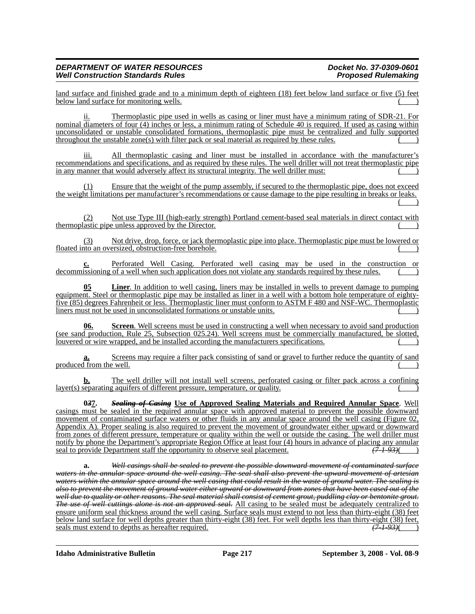land surface and finished grade and to a minimum depth of eighteen (18) feet below land surface or five (5) feet below land surface for monitoring wells.

Thermoplastic pipe used in wells as casing or liner must have a minimum rating of SDR-21. For nominal diameters of four (4) inches or less, a minimum rating of Schedule 40 is required. If used as casing within unconsolidated or unstable consolidated formations, thermoplastic pipe must be centralized and fully supported  $throughout the unstable zone(s) with filter pack or seal material as required by these rules.$ 

iii. All thermoplastic casing and liner must be installed in accordance with the manufacturer's recommendations and specifications, and as required by these rules. The well driller will not treat thermoplastic pipe in any manner that would adversely affect its structural integrity. The well driller must:

(1) Ensure that the weight of the pump assembly, if secured to the thermoplastic pipe, does not exceed the weight limitations per manufacturer's recommendations or cause damage to the pipe resulting in breaks or leaks.  $($   $)$ 

(2) Not use Type III (high-early strength) Portland cement-based seal materials in direct contact with thermoplastic pipe unless approved by the Director.

(3) Not drive, drop, force, or jack thermoplastic pipe into place. Thermoplastic pipe must be lowered or floated into an oversized, obstruction-free borehole.

**c.** Perforated Well Casing. Perforated well casing may be used in the construction or decommissioning of a well when such application does not violate any standards required by these rules.

**05 Liner**. In addition to well casing, liners may be installed in wells to prevent damage to pumping equipment. Steel or thermoplastic pipe may be installed as liner in a well with a bottom hole temperature of eightyfive (85) degrees Fahrenheit or less. Thermoplastic liner must conform to ASTM F 480 and NSF-WC. Thermoplastic liners must not be used in unconsolidated formations or unstable units.

**06. Screen**. Well screens must be used in constructing a well when necessary to avoid sand production (see sand production, Rule 25, Subsection 025.24). Well screens must be commercially manufactured, be slotted, louvered or wire wrapped, and be installed according the manufacturers specifications.

Screens may require a filter pack consisting of sand or gravel to further reduce the quantity of sand produced from the well.

**b.** The well driller will not install well screens, perforated casing or filter pack across a confining layer(s) separating aquifers of different pressure, temperature, or quality.

**0***3***7.** *Sealing of Casing* **Use of Approved Sealing Materials and Required Annular Space**. Well casings must be sealed in the required annular space with approved material to prevent the possible downward movement of contaminated surface waters or other fluids in any annular space around the well casing (Figure 02, Appendix A). Proper sealing is also required to prevent the movement of groundwater either upward or downward from zones of different pressure, temperature or quality within the well or outside the casing. The well driller must notify by phone the Department's appropriate Region Office at least four (4) hours in advance of placing any annular seal to provide Department staff the opportunity to observe seal placement.  $(7.1-93)$ 

**a.** *Well casings shall be sealed to prevent the possible downward movement of contaminated surface waters in the annular space around the well casing. The seal shall also prevent the upward movement of artesian waters within the annular space around the well casing that could result in the waste of ground water. The sealing is also to prevent the movement of ground water either upward or downward from zones that have been cased out of the well due to quality or other reasons. The seal material shall consist of cement grout, puddling clay or bentonite grout. The use of well cuttings alone is not an approved seal.* All casing to be sealed must be adequately centralized to ensure uniform seal thickness around the well casing. Surface seals must extend to not less than thirty-eight (38) feet below land surface for well depths greater than thirty-eight (38) feet. For well depths less than thirty-eight (38) feet, seals must extend to depths as hereafter required.  $(7-1-93)$ 

**Idaho Administrative Bulletin Page 217 September 3, 2008 - Vol. 08-9**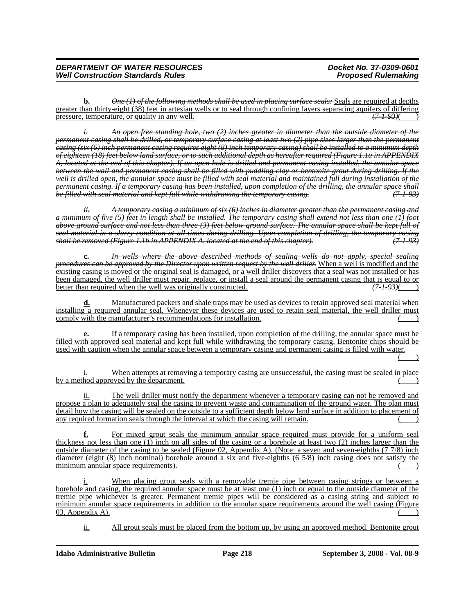**b.** *One (1) of the following methods shall be used in placing surface seals:* Seals are required at depths greater than thirty-eight (38) feet in artesian wells or to seal through confining layers separating aquifers of differing pressure, temperature, or quality in any well. pressure, temperature, or quality in any well.

*i. An open free standing hole, two (2) inches greater in diameter than the outside diameter of the permanent casing shall be drilled, or temporary surface casing at least two (2) pipe sizes larger than the permanent casing (six (6) inch permanent casing requires eight (8) inch temporary casing) shall be installed to a minimum depth of eighteen (18) feet below land surface, or to such additional depth as hereafter required (Figure 1.1a in APPENDIX A, located at the end of this chapter). If an open hole is drilled and permanent casing installed, the annular space between the wall and permanent casing shall be filled with puddling clay or bentonite grout during drilling. If the well is drilled open, the annular space must be filled with seal material and maintained full during installation of the permanent casing. If a temporary casing has been installed, upon completion of the drilling, the annular space shall be filled with seal material and kept full while withdrawing the temporary casing. (7-1-93)*

*ii. A temporary casing a minimum of six (6) inches in diameter greater than the permanent casing and a minimum of five (5) feet in length shall be installed. The temporary casing shall extend not less than one (1) foot above ground surface and not less than three (3) feet below ground surface. The annular space shall be kept full of seal material in a slurry condition at all times during drilling. Upon completion of drilling, the temporary casing shall be removed (Figure 1.1b in APPENDIX A, located at the end of this chapter). (7-1-93)*

**c.** *In wells where the above described methods of sealing wells do not apply, special sealing procedures can be approved by the Director upon written request by the well driller.* When a well is modified and the existing casing is moved or the original seal is damaged, or a well driller discovers that a seal was not installed or has <u>been damaged, the well driller must repair, replace, or install a seal around the permanent casing that is equal to or</u><br>better than required when the well was originally constructed.  $(7193)(7192)$ better than required when the well was originally constructed.

**d.** Manufactured packers and shale traps may be used as devices to retain approved seal material when installing a required annular seal. Whenever these devices are used to retain seal material, the well driller must comply with the manufacturer's recommendations for installation.

**e.** If a temporary casing has been installed, upon completion of the drilling, the annular space must be filled with approved seal material and kept full while withdrawing the temporary casing. Bentonite chips should be used with caution when the annular space between a temporary casing and permanent casing is filled with water.

 $($  )

When attempts at removing a temporary casing are unsuccessful, the casing must be sealed in place by a method approved by the department.

ii. The well driller must notify the department whenever a temporary casing can not be removed and propose a plan to adequately seal the casing to prevent waste and contamination of the ground water. The plan must detail how the casing will be sealed on the outside to a sufficient depth below land surface in addition to placement of any required formation seals through the interval at which the casing will remain.

**f.** For mixed grout seals the minimum annular space required must provide for a uniform seal thickness not less than one (1) inch on all sides of the casing or a borehole at least two (2) inches larger than the outside diameter of the casing to be sealed (Figure 02, Appendix A). (Note: a seven and seven-eighths (7 7/8) inch diameter (eight (8) inch nominal) borehole around a six and five-eighths (6 5/8) inch casing does not satisfy the minimum annular space requirements).

i. When placing grout seals with a removable tremie pipe between casing strings or between a borehole and casing, the required annular space must be at least one (1) inch or equal to the outside diameter of the tremie pipe whichever is greater. Permanent tremie pipes will be considered as a casing string and subject to minimum annular space requirements in addition to the annular space requirements around the well casing (Figure  $03$ , Appendix A).

ii. All grout seals must be placed from the bottom up, by using an approved method. Bentonite grout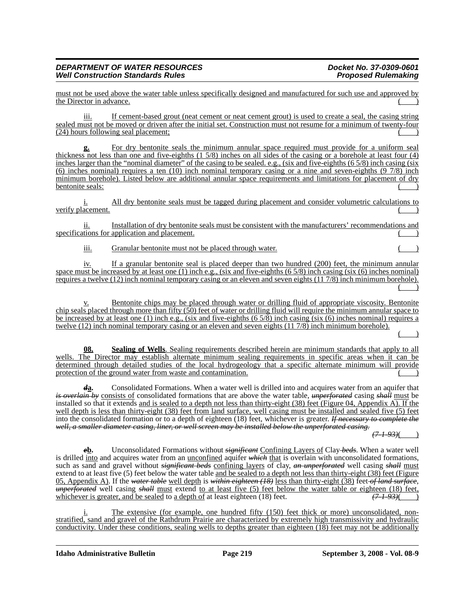must not be used above the water table unless specifically designed and manufactured for such use and approved by the Director in advance.

iii. If cement-based grout (neat cement or neat cement grout) is used to create a seal, the casing string sealed must not be moved or driven after the initial set. Construction must not resume for a minimum of twenty-four (24) hours following seal placement;

**g.** For dry bentonite seals the minimum annular space required must provide for a uniform seal thickness not less than one and five-eighths (1 5/8) inches on all sides of the casing or a borehole at least four (4) inches larger than the "nominal diameter" of the casing to be sealed. e.g., (six and five-eighths (65/8) inch casing (six (6) inches nominal) requires a ten (10) inch nominal temporary casing or a nine and seven-eighths (9 7/8) inch minimum borehole). Listed below are additional annular space requirements and limitations for placement of dry bentonite seals:

i. All dry bentonite seals must be tagged during placement and consider volumetric calculations to verify placement.

ii. Installation of dry bentonite seals must be consistent with the manufacturers' recommendations and specifications for application and placement.

iii. Granular bentonite must not be placed through water.

iv. If a granular bentonite seal is placed deeper than two hundred (200) feet, the minimum annular space must be increased by at least one (1) inch e.g., (six and five-eighths  $(6\frac{5}{8})$  inch casing (six  $(6)$  inches nominal) requires a twelve (12) inch nominal temporary casing or an eleven and seven eights (11 7/8) inch minimum borehole).  $($  )

v. Bentonite chips may be placed through water or drilling fluid of appropriate viscosity. Bentonite chip seals placed through more than fifty (50) feet of water or drilling fluid will require the minimum annular space to be increased by at least one (1) inch e.g., (six and five-eighths  $(6\frac{5}{8})$  inch casing (six  $(6)$  inches nominal) requires a twelve (12) inch nominal temporary casing or an eleven and seven eights (11 7/8) inch minimum borehole).

**08. Sealing of Wells**. Sealing requirements described herein are minimum standards that apply to all wells. The Director may establish alternate minimum sealing requirements in specific areas when it can be determined through detailed studies of the local hydrogeology that a specific alternate minimum will provide protection of the ground water from waste and contamination.

*d***a.** Consolidated Formations. When a water well is drilled into and acquires water from an aquifer that *is overlain by* consists of consolidated formations that are above the water table, *unperforated* casing *shall* must be installed so that it extends and is sealed to a depth not less than thirty-eight (38) feet (Figure 04, Appendix A). If the well depth is less than thirty-eight (38) feet from land surface, well casing must be installed and sealed five (5) feet into the consolidated formation or to a depth of eighteen (18) feet, whichever is greater. *If necessary to complete the well, a smaller diameter casing, liner, or well screen may be installed below the unperforated casing.*

*(7-1-93)*( )

 $($  )

*e***b.** Unconsolidated Formations without *significant* Confining Layers of Clay *beds*. When a water well is drilled into and acquires water from an unconfined aquifer *which* that is overlain with unconsolidated formations, such as sand and gravel without *significant beds* confining layers of clay, *an unperforated* well casing *shall* must extend to at least five (5) feet below the water table and be sealed to a depth not less than thirty-eight (38) feet (Figure 05, Appendix A). If the *water table* well depth is *within eighteen (18)* less than thirty-eight (38) feet *of land surface*, *unperforated* well casing *shall* must extend <u>to at least five (5) feet below the water table or eighteen (18) feet, whichever is greater, and be sealed to a depth of at least eighteen (18) feet.</u> whichever is greater, and be sealed to a depth of at least eighteen (18) feet.

The extensive (for example, one hundred fifty (150) feet thick or more) unconsolidated, nonstratified, sand and gravel of the Rathdrum Prairie are characterized by extremely high transmissivity and hydraulic conductivity. Under these conditions, sealing wells to depths greater than eighteen (18) feet may not be additionally

**Idaho Administrative Bulletin Page 219 September 3, 2008 - Vol. 08-9**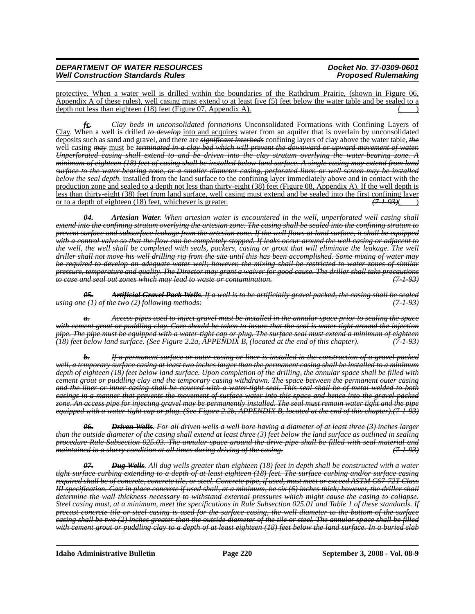protective. When a water well is drilled within the boundaries of the Rathdrum Prairie, (shown in Figure 06, Appendix A of these rules), well casing must extend to at least five (5) feet below the water table and be sealed to a depth not less than eighteen  $(18)$  feet (Figure 07, Appendix A).

*f***c.** *Clay beds in unconsolidated formations* Unconsolidated Formations with Confining Layers of Clay. When a well is drilled *to develop* into and acquires water from an aquifer that is overlain by unconsolidated deposits such as sand and gravel, and there are *significant interbeds* confining layers of clay above the water table, *the* well casing *may* must be *terminated in a clay bed which will prevent the downward or upward movement of water. Unperforated casing shall extend to and be driven into the clay stratum overlying the water-bearing zone. A minimum of eighteen (18) feet of casing shall be installed below land surface. A single casing may extend from land surface to the water-bearing zone, or a smaller diameter casing, perforated liner, or well screen may be installed below the seal depth.* installed from the land surface to the confining layer immediately above and in contact with the production zone and sealed to a depth not less than thirty-eight (38) feet (Figure 08, Appendix A). If the well depth is less than thirty-eight (38) feet from land surface, well casing must extend and be sealed into the first confining layer or to a depth of eighteen (18) feet, whichever is greater. *(7-1-93)*( )

*04. Artesian Water. When artesian water is encountered in the well, unperforated well casing shall extend into the confining stratum overlying the artesian zone. The casing shall be sealed into the confining stratum to prevent surface and subsurface leakage from the artesian zone. If the well flows at land surface, it shall be equipped with a control valve so that the flow can be completely stopped. If leaks occur around the well casing or adjacent to the well, the well shall be completed with seals, packers, casing or grout that will eliminate the leakage. The well driller shall not move his well drilling rig from the site until this has been accomplished. Some mixing of water may be required to develop an adequate water well; however, the mixing shall be restricted to water zones of similar pressure, temperature and quality. The Director may grant a waiver for good cause. The driller shall take precautions to case and seal out zones which may lead to waste or contamination. (7-1-93)*

*05. Artificial Gravel Pack Wells. If a well is to be artificially gravel packed, the casing shall be sealed using one (1) of the two (2) following methods:* 

*a. Access pipes used to inject gravel must be installed in the annular space prior to sealing the space with cement grout or puddling clay. Care should be taken to insure that the seal is water tight around the injection pipe. The pipe must be equipped with a water-tight cap or plug. The surface seal must extend a minimum of eighteen (18) feet below land surface. (See Figure 2.2a, APPENDIX B, (located at the end of this chapter). (7-1-93)*

*b. If a permanent surface or outer casing or liner is installed in the construction of a gravel packed well, a temporary surface casing at least two inches larger than the permanent casing shall be installed to a minimum depth of eighteen (18) feet below land surface. Upon completion of the drilling, the annular space shall be filled with cement grout or puddling clay and the temporary casing withdrawn. The space between the permanent outer casing and the liner or inner casing shall be covered with a water-tight seal. This seal shall be of metal welded to both casings in a manner that prevents the movement of surface water into this space and hence into the gravel-packed zone. An access pipe for injecting gravel may be permanently installed. The seal must remain water tight and the pipe equipped with a water-tight cap or plug. (See Figure 2.2b, APPENDIX B, located at the end of this chapter).(7-1-93)*

*06. Driven Wells. For all driven wells a well bore having a diameter of at least three (3) inches larger than the outside diameter of the casing shall extend at least three (3) feet below the land surface as outlined in sealing procedure Rule Subsection 025.03. The annular space around the drive pipe shall be filled with seal material and maintained in a slurry condition at all times during driving of the casing. (7-1-93)*

*07. Dug Wells. All dug wells greater than eighteen (18) feet in depth shall be constructed with a water tight surface curbing extending to a depth of at least eighteen (18) feet. The surface curbing and/or surface casing required shall be of concrete, concrete tile, or steel. Concrete pipe, if used, must meet or exceed ASTM C67-72T Class III specification. Cast in place concrete if used shall, at a minimum, be six (6) inches thick; however, the driller shall determine the wall thickness necessary to withstand external pressures which might cause the casing to collapse. Steel casing must, at a minimum, meet the specifications in Rule Subsection 025.01 and Table 1 of these standards. If precast concrete tile or steel casing is used for the surface casing, the well diameter to the bottom of the surface casing shall be two (2) inches greater than the outside diameter of the tile or steel. The annular space shall be filled with cement grout or puddling clay to a depth of at least eighteen (18) feet below the land surface. In a buried slab* 

**Idaho Administrative Bulletin Page 220 September 3, 2008 - Vol. 08-9**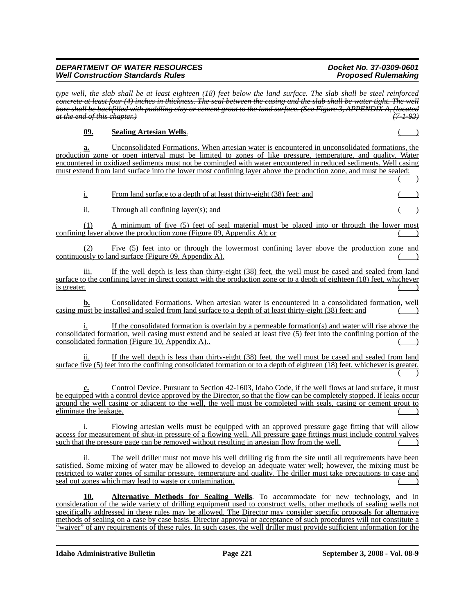*type well, the slab shall be at least eighteen (18) feet below the land surface. The slab shall be steel reinforced concrete at least four (4) inches in thickness. The seal between the casing and the slab shall be water tight. The well bore shall be backfilled with puddling clay or cement grout to the land surface. (See Figure 3, APPENDIX A, (located at the end of this chapter.) (7-1-93)*

## **09. Sealing Artesian Wells**. ( )

**a.** Unconsolidated Formations. When artesian water is encountered in unconsolidated formations, the production zone or open interval must be limited to zones of like pressure, temperature, and quality. Water encountered in oxidized sediments must not be comingled with water encountered in reduced sediments. Well casing must extend from land surface into the lower most confining layer above the production zone, and must be sealed:  $($   $)$ 

| <u>i.</u>                    | From land surface to a depth of at least thirty-eight (38) feet; and                                                                                                                                                                                                                                                                                                                                      |  |
|------------------------------|-----------------------------------------------------------------------------------------------------------------------------------------------------------------------------------------------------------------------------------------------------------------------------------------------------------------------------------------------------------------------------------------------------------|--|
| ii,                          | Through all confining layer(s); and                                                                                                                                                                                                                                                                                                                                                                       |  |
| (1)                          | A minimum of five (5) feet of seal material must be placed into or through the lower most<br>confining layer above the production zone (Figure 09, Appendix A); or                                                                                                                                                                                                                                        |  |
| (2)                          | Five (5) feet into or through the lowermost confining layer above the production zone and<br>continuously to land surface (Figure 09, Appendix A).                                                                                                                                                                                                                                                        |  |
| 111.<br>is greater.          | If the well depth is less than thirty-eight (38) feet, the well must be cased and sealed from land<br>surface to the confining layer in direct contact with the production zone or to a depth of eighteen (18) feet, whichever                                                                                                                                                                            |  |
| b.                           | Consolidated Formations. When artesian water is encountered in a consolidated formation, well<br>casing must be installed and sealed from land surface to a depth of at least thirty-eight (38) feet; and                                                                                                                                                                                                 |  |
|                              | If the consolidated formation is overlain by a permeable formation(s) and water will rise above the<br>consolidated formation, well casing must extend and be sealed at least five (5) feet into the confining portion of the<br>consolidated formation (Figure 10, Appendix A)                                                                                                                           |  |
| 11.                          | If the well depth is less than thirty-eight (38) feet, the well must be cased and sealed from land<br>surface five (5) feet into the confining consolidated formation or to a depth of eighteen (18) feet, whichever is greater.                                                                                                                                                                          |  |
| c.<br>eliminate the leakage. | Control Device. Pursuant to Section 42-1603, Idaho Code, if the well flows at land surface, it must<br>be equipped with a control device approved by the Director, so that the flow can be completely stopped. If leaks occur<br>around the well casing or adjacent to the well, the well must be completed with seals, casing or cement grout to                                                         |  |
|                              | Flowing artesian wells must be equipped with an approved pressure gage fitting that will allow<br>access for measurement of shut-in pressure of a flowing well. All pressure gage fittings must include control valves<br>such that the pressure gage can be removed without resulting in artesian flow from the well.                                                                                    |  |
| 11.                          | The well driller must not move his well drilling rig from the site until all requirements have been<br>satisfied. Some mixing of water may be allowed to develop an adequate water well; however, the mixing must be<br>restricted to water zones of similar pressure, temperature and quality. The driller must take precautions to case and<br>seal out zones which may lead to waste or contamination. |  |

**10. Alternative Methods for Sealing Wells**. To accommodate for new technology, and in consideration of the wide variety of drilling equipment used to construct wells, other methods of sealing wells not specifically addressed in these rules may be allowed. The Director may consider specific proposals for alternative methods of sealing on a case by case basis. Director approval or acceptance of such procedures will not constitute a "waiver" of any requirements of these rules. In such cases, the well driller must provide sufficient information for the

**Idaho Administrative Bulletin Page 221 September 3, 2008 - Vol. 08-9**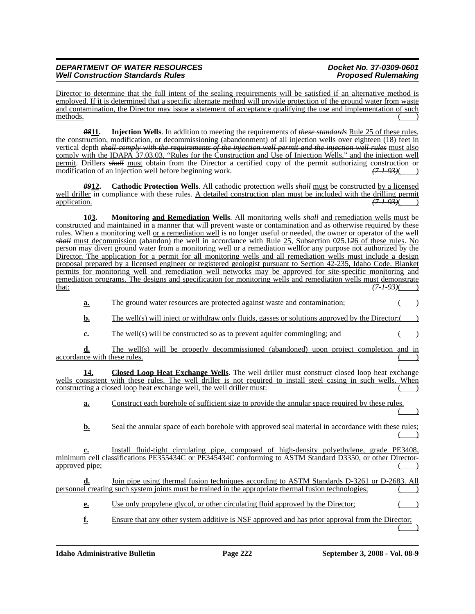Director to determine that the full intent of the sealing requirements will be satisfied if an alternative method is employed. If it is determined that a specific alternate method will provide protection of the ground water from waste and contamination, the Director may issue a statement of acceptance qualifying the use and implementation of such methods.  $($ 

*08***11. Injection Wells**. In addition to meeting the requirements of *these standards* Rule 25 of these rules, the construction, modification, or decommissioning (abandonment) of all injection wells over eighteen (18) feet in vertical depth *shall comply with the requirements of the injection well permit and the injection well rules* must also comply with the IDAPA 37.03.03, "Rules for the Construction and Use of Injection Wells," and the injection well permit. Drillers *shall* must obtain from the Director a certified copy of the permit authorizing construction or modification of an injection well before beginning work.  $(7.1-93)$ (

*09***12. Cathodic Protection Wells**. All cathodic protection wells *shall* must be constructed by a licensed well driller in compliance with these rules. A detailed construction plan must be included with the drilling permit application. *(7-1-93)*( )

**1***0***3. Monitoring and Remediation Wells**. All monitoring wells *shall* and remediation wells must be constructed and maintained in a manner that will prevent waste or contamination and as otherwise required by these rules. When a monitoring well or a remediation well is no longer useful or needed, the owner or operator of the well *shall* must decommission (abandon) the well in accordance with Rule 25, Subsection 025.1*2*6 of these rules. No person may divert ground water from a monitoring well or a remediation wellfor any purpose not authorized by the Director. The application for a permit for all monitoring wells and all remediation wells must include a design proposal prepared by a licensed engineer or registered geologist pursuant to Section 42-235, Idaho Code. Blanket permits for monitoring well and remediation well networks may be approved for site-specific monitoring and remediation programs. The designs and specification for monitoring wells and remediation wells must demonstrate that:  $(7193)($ that: *(7-1-93)*( )

**a.** The ground water resources are protected against waste and contamination;

- **b.** The well(s) will inject or withdraw only fluids, gasses or solutions approved by the Director;(
- **c.** The well(s) will be constructed so as to prevent aquifer commingling; and

**d.** The well(s) will be properly decommissioned (abandoned) upon project completion and in accordance with these rules.

**14. Closed Loop Heat Exchange Wells**. The well driller must construct closed loop heat exchange wells consistent with these rules. The well driller is not required to install steel casing in such wells. When constructing a closed loop heat exchange well, the well driller must:

**a.** Construct each borehole of sufficient size to provide the annular space required by these rules.  $($   $)$ 

**b.** Seal the annular space of each borehole with approved seal material in accordance with these rules;  $($   $)$ 

**c.** Install fluid-tight circulating pipe, composed of high-density polyethylene, grade PE3408, minimum cell classifications PE355434C or PE345434C conforming to ASTM Standard D3350, or other Directorapproved pipe;

**d.** Join pipe using thermal fusion techniques according to ASTM Standards D-3261 or D-2683. All personnel creating such system joints must be trained in the appropriate thermal fusion technologies; ( )

**e.** Use only propylene glycol, or other circulating fluid approved by the Director;

**f.** Ensure that any other system additive is NSF approved and has prior approval from the Director;  $($   $)$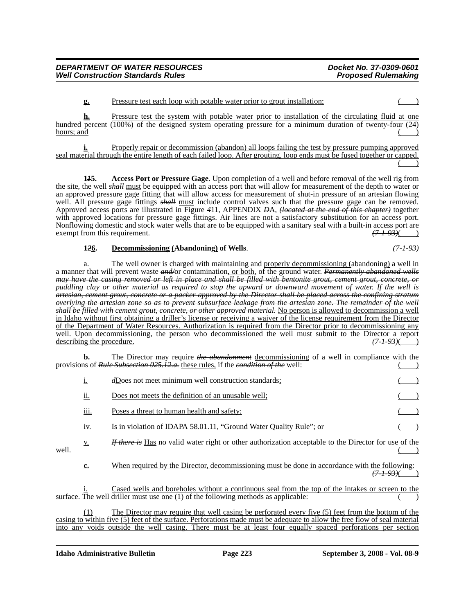### **g.** Pressure test each loop with potable water prior to grout installation;  $($

**h.** Pressure test the system with potable water prior to installation of the circulating fluid at one hundred percent (100%) of the designed system operating pressure for a minimum duration of twenty-four (24)  $hours; and$   $($ 

**i.** Properly repair or decommission (abandon) all loops failing the test by pressure pumping approved seal material through the entire length of each failed loop. After grouting, loop ends must be fused together or capped.  $\begin{pmatrix} 1 & 1 \\ 1 & 1 \end{pmatrix}$ 

**1***1***5. Access Port or Pressure Gage**. Upon completion of a well and before removal of the well rig from the site, the well *shall* must be equipped with an access port that will allow for measurement of the depth to water or an approved pressure gage fitting that will allow access for measurement of shut-in pressure of an artesian flowing well. All pressure gage fittings *shall* must include control valves such that the pressure gage can be removed. Approved access ports are illustrated in Figure *4*11, APPENDIX *D*A, *(located at the end of this chapter)* together with approved locations for pressure gage fittings. Air lines are not a satisfactory substitution for an access port. Nonflowing domestic and stock water wells that are to be equipped with a sanitary seal with a built-in access port are exempt from this requirement.  $\frac{(7-1-93)()}{(7-1-93)()}$ exempt from this requirement.

### **1***2***6. Decommissioning (Abandoning) of Wells**. *(7-1-93)*

a. The well owner is charged with maintaining and properly decommissioning (abandoning) a well in a manner that will prevent waste *and/*or contamination, or both, of the ground water. *Permanently abandoned wells may have the casing removed or left in place and shall be filled with bentonite grout, cement grout, concrete, or puddling clay or other material as required to stop the upward or downward movement of water. If the well is artesian, cement grout, concrete or a packer approved by the Director shall be placed across the confining stratum overlying the artesian zone so as to prevent subsurface leakage from the artesian zone. The remainder of the well shall be filled with cement grout, concrete, or other approved material.* No person is allowed to decommission a well in Idaho without first obtaining a driller's license or receiving a waiver of the license requirement from the Director of the Department of Water Resources. Authorization is required from the Director prior to decommissioning any well. Upon decommissioning, the person who decommissioned the well must submit to the Director a report describing the procedure. *(7-1-93)*( )

**b.** The Director may require *the abandonment* decommissioning of a well in compliance with the provisions of *Rule Subsection 025.12.a.* these rules, if the *condition of the* well:

|       | 1.                | dDoes not meet minimum well construction standards;                                                                                                                                    |  |
|-------|-------------------|----------------------------------------------------------------------------------------------------------------------------------------------------------------------------------------|--|
|       | <u>ii.</u>        | Does not meets the definition of an unusable well;                                                                                                                                     |  |
|       | iii.              | Poses a threat to human health and safety;                                                                                                                                             |  |
|       | <u>iv.</u>        | Is in violation of IDAPA 58.01.11, "Ground Water Quality Rule"; or                                                                                                                     |  |
| well. | $\underline{v}$ . | <i>If there is</i> Has no valid water right or other authorization acceptable to the Director for use of the                                                                           |  |
|       | $c_{\cdot}$       | When required by the Director, decommissioning must be done in accordance with the following:                                                                                          |  |
|       |                   | Cased wells and boreholes without a continuous seal from the top of the intakes or screen to the<br>surface. The well driller must use one (1) of the following methods as applicable: |  |
|       |                   | The Director may require that well casing be perforated every five (5) feet from the bottom of the                                                                                     |  |

casing to within five (5) feet of the surface. Perforations made must be adequate to allow the free flow of seal material into any voids outside the well casing. There must be at least four equally spaced perforations per section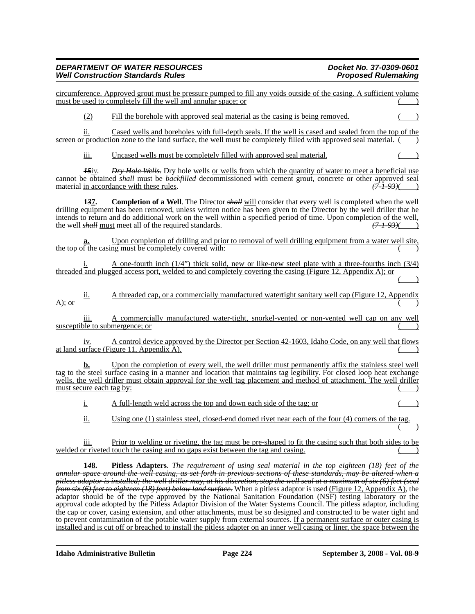|           | 148.                     | Pitless Adapters. The requirement of using seal material in the top eighteen (18) feet of the<br>annular space around the well casing, as set forth in previous sections of these standards, may be altered when a<br>pitless adaptor is installed; the well driller may, at his discretion, stop the well seal at a maximum of six (6) feet (seal                                                                                                 |
|-----------|--------------------------|----------------------------------------------------------------------------------------------------------------------------------------------------------------------------------------------------------------------------------------------------------------------------------------------------------------------------------------------------------------------------------------------------------------------------------------------------|
|           | 111.                     | Prior to welding or riveting, the tag must be pre-shaped to fit the casing such that both sides to be<br>welded or riveted touch the casing and no gaps exist between the tag and casing.                                                                                                                                                                                                                                                          |
|           | ii.                      | Using one (1) stainless steel, closed-end domed rivet near each of the four (4) corners of the tag.                                                                                                                                                                                                                                                                                                                                                |
|           | <u>i.</u>                | A full-length weld across the top and down each side of the tag; or                                                                                                                                                                                                                                                                                                                                                                                |
|           | must secure each tag by: | wells, the well driller must obtain approval for the well tag placement and method of attachment. The well driller                                                                                                                                                                                                                                                                                                                                 |
|           | b.                       | Upon the completion of every well, the well driller must permanently affix the stainless steel well<br>tag to the steel surface casing in a manner and location that maintains tag legibility. For closed loop heat exchange                                                                                                                                                                                                                       |
|           |                          | A control device approved by the Director per Section 42-1603, Idaho Code, on any well that flows<br>at land surface (Figure 11, Appendix A).                                                                                                                                                                                                                                                                                                      |
|           | 111.                     | A commercially manufactured water-tight, snorkel-vented or non-vented well cap on any well<br>susceptible to submergence; or                                                                                                                                                                                                                                                                                                                       |
| $A)$ ; or | ii.                      | A threaded cap, or a commercially manufactured watertight sanitary well cap (Figure 12, Appendix                                                                                                                                                                                                                                                                                                                                                   |
|           | i.                       | A one-fourth inch $(1/4)$ thick solid, new or like-new steel plate with a three-fourths inch $(3/4)$<br>threaded and plugged access port, welded to and completely covering the casing (Figure 12, Appendix A); or                                                                                                                                                                                                                                 |
|           |                          | Upon completion of drilling and prior to removal of well drilling equipment from a water well site,<br>the top of the casing must be completely covered with:                                                                                                                                                                                                                                                                                      |
|           | 137.                     | <b>Completion of a Well.</b> The Director <i>shall</i> will consider that every well is completed when the well<br>drilling equipment has been removed, unless written notice has been given to the Director by the well driller that he<br>intends to return and do additional work on the well within a specified period of time. Upon completion of the well,<br>the well <i>shall</i> must meet all of the required standards.<br>$(7-1-93)$ ( |
|           | $15$ iv.                 | Dry Hole Wells. Dry hole wells or wells from which the quantity of water to meet a beneficial use<br>cannot be obtained shall must be backfilled decommissioned with cement grout, concrete or other approved seal<br>material in accordance with these rules.<br>$(7-1-93)$ (1)                                                                                                                                                                   |
|           | iii.                     | Uncased wells must be completely filled with approved seal material.<br>$\overline{\phantom{0}}$                                                                                                                                                                                                                                                                                                                                                   |
|           | ii.                      | Cased wells and boreholes with full-depth seals. If the well is cased and sealed from the top of the<br>screen or production zone to the land surface, the well must be completely filled with approved seal material.                                                                                                                                                                                                                             |
|           | (2)                      | Fill the borehole with approved seal material as the casing is being removed.                                                                                                                                                                                                                                                                                                                                                                      |
|           |                          | circumference. Approved grout must be pressure pumped to fill any voids outside of the casing. A sufficient volume<br>must be used to completely fill the well and annular space; or                                                                                                                                                                                                                                                               |

*from six (6) feet to eighteen (18) feet) below land surface.* When a pitless adaptor is used (Figure 12, Appendix A), the adaptor should be of the type approved by the National Sanitation Foundation (NSF) testing laboratory or the approval code adopted by the Pitless Adaptor Division of the Water Systems Council. The pitless adaptor, including the cap or cover, casing extension, and other attachments, must be so designed and constructed to be water tight and to prevent contamination of the potable water supply from external sources. If a permanent surface or outer casing is installed and is cut off or breached to install the pitless adapter on an inner well casing or liner, the space between the

**Idaho Administrative Bulletin Page 224 September 3, 2008 - Vol. 08-9**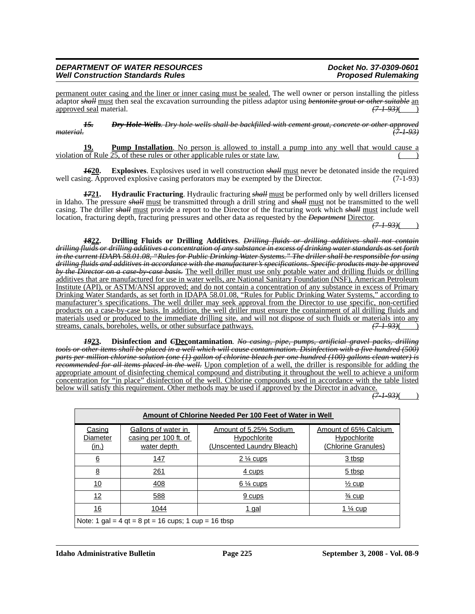permanent outer casing and the liner or inner casing must be sealed. The well owner or person installing the pitless adaptor *shall* must then seal the excavation surrounding the pitless adaptor using *bentonite grout or other suitable* an approved seal material. *(7-1-93)*( )

*15. Dry Hole Wells. Dry hole wells shall be backfilled with cement grout, concrete or other approved material. (7-1-93)*

**Pump Installation**. No person is allowed to install a pump into any well that would cause a violation of Rule 25, of these rules or other applicable rules or state law.

*16***20. Explosives**. Explosives used in well construction *shall* must never be detonated inside the required well casing. Approved explosive casing perforators may be exempted by the Director. (7-1-93)

*17***21. Hydraulic Fracturing**. Hydraulic fracturing *shall* must be performed only by well drillers licensed in Idaho. The pressure *shall* must be transmitted through a drill string and *shall* must not be transmitted to the well casing. The driller *shall* must provide a report to the Director of the fracturing work which *shall* must include well location, fracturing depth, fracturing pressures and other data as requested by the *Department* Director.

*(7-1-93)*( )

*18***22. Drilling Fluids or Drilling Additives**. *Drilling fluids or drilling additives shall not contain drilling fluids or drilling additives a concentration of any substance in excess of drinking water standards as set forth in the current IDAPA 58.01.08, "Rules for Public Drinking Water Systems." The driller shall be responsible for using drilling fluids and additives in accordance with the manufacturer's specifications. Specific products may be approved by the Director on a case-by-case basis.* The well driller must use only potable water and drilling fluids or drilling additives that are manufactured for use in water wells, are National Sanitary Foundation (NSF), American Petroleum Institute (API), or ASTM/ANSI approved; and do not contain a concentration of any substance in excess of Primary Drinking Water Standards, as set forth in IDAPA 58.01.08, "Rules for Public Drinking Water Systems," according to manufacturer's specifications. The well driller may seek approval from the Director to use specific, non-certified products on a case-by-case basis. In addition, the well driller must ensure the containment of all drilling fluids and materials used or produced to the immediate drilling site, and will not dispose of such fluids or materials into any streams, canals, boreholes, wells, or other subsurface pathways.  $(7-1-93)$ streams, canals, boreholes, wells, or other subsurface pathways.

*19***23. Disinfection and** *C***Decontamination**. *No casing, pipe, pumps, artificial gravel packs, drilling tools or other items shall be placed in a well which will cause contamination. Disinfection with a five hundred (500) parts per million chlorine solution (one (1) gallon of chlorine bleach per one hundred (100) gallons clean water) is recommended for all items placed in the well.* Upon completion of a well, the driller is responsible for adding the appropriate amount of disinfecting chemical compound and distributing it throughout the well to achieve a uniform concentration for "in place" disinfection of the well. Chlorine compounds used in accordance with the table listed below will satisfy this requirement. Other methods may be used if approved by the Director in advance.

*(7-1-93)*( )

|                                    | Amount of Chlorine Needed Per 100 Feet of Water in Well     |                                                                             |                                                                     |  |  |  |  |  |  |
|------------------------------------|-------------------------------------------------------------|-----------------------------------------------------------------------------|---------------------------------------------------------------------|--|--|--|--|--|--|
| Casing<br>Diameter<br><u>(in.)</u> | Gallons of water in<br>casing per 100 ft. of<br>water depth | Amount of 5.25% Sodium<br><b>Hypochlorite</b><br>(Unscented Laundry Bleach) | Amount of 65% Calcium<br><b>Hypochlorite</b><br>(Chlorine Granules) |  |  |  |  |  |  |
| 6                                  | 147                                                         | 2 % cups                                                                    | 3 tbsp                                                              |  |  |  |  |  |  |
| 8                                  | 261                                                         | 4 cups                                                                      | $5$ tbsp                                                            |  |  |  |  |  |  |
| 10                                 | 408                                                         | $6\%$ cups                                                                  | $\frac{1}{2}$ cup                                                   |  |  |  |  |  |  |
| <u> 12</u>                         | 588                                                         | 9 cups                                                                      | $\frac{3}{4}$ cup                                                   |  |  |  |  |  |  |
| 16                                 | 1044                                                        | <u>1 gal</u>                                                                | 1 $\frac{1}{4}$ cup                                                 |  |  |  |  |  |  |
|                                    | Note: 1 gal = 4 gt = 8 pt = 16 cups; 1 cup = 16 tbsp        |                                                                             |                                                                     |  |  |  |  |  |  |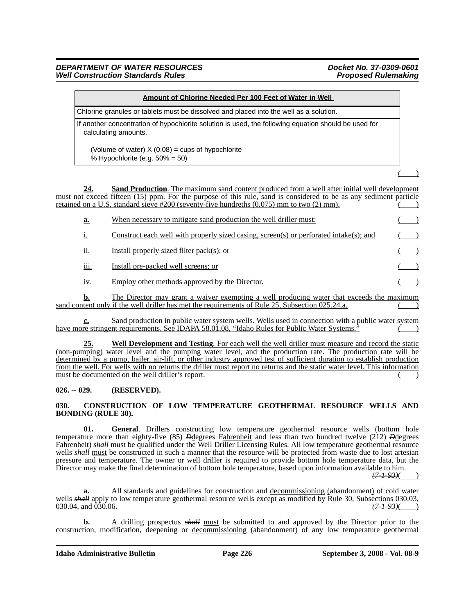| Amount of Chlorine Needed Per 100 Feet of Water in Well                                                                      |  |
|------------------------------------------------------------------------------------------------------------------------------|--|
| Chlorine granules or tablets must be dissolved and placed into the well as a solution.                                       |  |
| If another concentration of hypochlorite solution is used, the following equation should be used for<br>calculating amounts. |  |
| (Volume of water) $X(0.08) = \text{cups of hypochlorite}$<br>% Hypochlorite (e.g. $50\% = 50$ )                              |  |
|                                                                                                                              |  |
| <b>Sand Production</b> . The maximum sand content produced from a well after initial well development<br>24.                 |  |

must not exceed fifteen (15) ppm. For the purpose of this rule, sand is considered to be as any sediment particle retained on a U.S. standard sieve  $\text{\#200}$  (seventy-five hundreths (0.075) mm to two (2) mm).

| <u>a.</u>   | When necessary to mitigate sand production the well driller must:                      |  |
|-------------|----------------------------------------------------------------------------------------|--|
|             | Construct each well with properly sized casing, screen(s) or perforated intake(s); and |  |
| <br>11.     | Install properly sized filter pack(s); or                                              |  |
| <u>iii.</u> | Install pre-packed well screens; or                                                    |  |
| 1V.         | Employ other methods approved by the Director.                                         |  |

**b.** The Director may grant a waiver exempting a well producing water that exceeds the maximum sand content only if the well driller has met the requirements of Rule 25, Subsection 025.24.a.

**c.** Sand production in public water system wells. Wells used in connection with a public water system have more stringent requirements. See IDAPA 58.01.08, "Idaho Rules for Public Water Systems."

**25. Well Development and Testing**. For each well the well driller must measure and record the static (non-pumping) water level and the pumping water level, and the production rate. The production rate will be determined by a pump, bailer, air-lift, or other industry approved test of sufficient duration to establish production from the well. For wells with no returns the driller must report no returns and the static water level. This information must be documented on the well driller's report.

### **026. -- 029. (RESERVED).**

### **030. CONSTRUCTION OF LOW TEMPERATURE GEOTHERMAL RESOURCE WELLS AND BONDING (RULE 30).**

**01. General**. Drillers constructing low temperature geothermal resource wells (bottom hole temperature more than eighty-five (85) *D*degrees Fahrenheit and less than two hundred twelve (212) *D*degrees Fahrenheit) *shall* must be qualified under the Well Driller Licensing Rules. All low temperature geothermal resource wells *shall* must be constructed in such a manner that the resource will be protected from waste due to lost artesian pressure and temperature. The owner or well driller is required to provide bottom hole temperature data, but the Director may make the final determination of bottom hole temperature, based upon information available to him.

*(7-1-93)*( )

**a.** All standards and guidelines for construction and decommissioning (abandonment) of cold water wells *shall* apply to low temperature geothermal resource wells except as modified by Rule 30, Subsections 030.03, 030.04, and 030.06. 030.04, and  $\overline{030.06}$ .

**b.** A drilling prospectus *shall* must be submitted to and approved by the Director prior to the construction, modification, deepening or decommissioning (abandonment) of any low temperature geothermal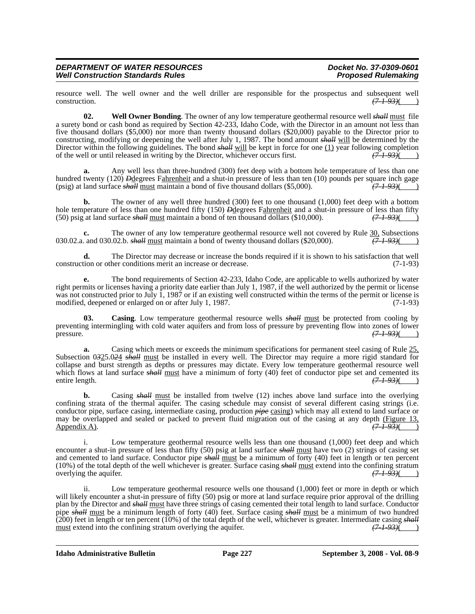resource well. The well owner and the well driller are responsible for the prospectus and subsequent well construction.  $(7.193)($  $(7-1.93)$ ( )

**02. Well Owner Bonding**. The owner of any low temperature geothermal resource well *shall* must file a surety bond or cash bond as required by Section 42-233, Idaho Code, with the Director in an amount not less than five thousand dollars (\$5,000) nor more than twenty thousand dollars (\$20,000) payable to the Director prior to constructing, modifying or deepening the well after July 1, 1987. The bond amount *shall* will be determined by the Director within the following guidelines. The bond *shall* will be kept in force for one (1) year following completion of the well or until released in writing by the Director, whichever occurs first. *(7-1-93)*( )

**a.** Any well less than three-hundred (300) feet deep with a bottom hole temperature of less than one hundred twenty (120) *D*degrees Fahrenheit and a shut-in pressure of less than ten (10) pounds per square inch gage (psig) at land surface *shall* must maintain a bond of five thousand dollars (\$5,000).  $\left(7-1-93\right)$  ( $\$ (psig) at land surface *shall* must maintain a bond of five thousand dollars (\$5,000).

**b.** The owner of any well three hundred (300) feet to one thousand (1,000) feet deep with a bottom hole temperature of less than one hundred fifty (150) *D*degrees Fahrenheit and a shut-in pressure of less than fifty (50) psig at land surface *shall* must maintain a bond of ten thousand dollars (\$10,000). (7.1.93)( (50) psig at land surface *shall* must maintain a bond of ten thousand dollars (\$10,000).

**c.** The owner of any low temperature geothermal resource well not covered by Rule  $\frac{30}{(7+93)}$ , Subsections and 030.02.b. shall must maintain a bond of twenty thousand dollars (\$20.000). 030.02.a. and 030.02.b. *shall* must maintain a bond of twenty thousand dollars (\$20,000).

**d.** The Director may decrease or increase the bonds required if it is shown to his satisfaction that well tion or other conditions merit an increase or decrease. (7-1-93) construction or other conditions merit an increase or decrease.

**e.** The bond requirements of Section 42-233, Idaho Code, are applicable to wells authorized by water right permits or licenses having a priority date earlier than July 1, 1987, if the well authorized by the permit or license was not constructed prior to July 1, 1987 or if an existing well constructed within the terms of the permit or license is modified, deepened or enlarged on or after July 1, 1987. (7-1-93)

**03.** Casing. Low temperature geothermal resource wells *shall* must be protected from cooling by preventing intermingling with cold water aquifers and from loss of pressure by preventing flow into zones of lower pressure. *(7-1-93)*( )

**a.** Casing which meets or exceeds the minimum specifications for permanent steel casing of Rule  $25$ , Subsection 0*3*25.0*2*4 *shall* must be installed in every well. The Director may require a more rigid standard for collapse and burst strength as depths or pressures may dictate. Every low temperature geothermal resource well which flows at land surface *shall* must have a minimum of forty (40) feet of conductor pipe set and cemented its entire length.  $(71.93)(22.1)$ entire length.

**b.** Casing *shall* must be installed from twelve (12) inches above land surface into the overlying confining strata of the thermal aquifer. The casing schedule may consist of several different casing strings (i.e. conductor pipe, surface casing, intermediate casing, production *pipe* casing) which may all extend to land surface or may be overlapped and sealed or packed to prevent fluid migration out of the casing at any depth (Figure 13, Appendix A).  $(71.93)($ Appendix A).

i. Low temperature geothermal resource wells less than one thousand (1,000) feet deep and which encounter a shut-in pressure of less than fifty (50) psig at land surface *shall* must have two (2) strings of casing set and cemented to land surface. Conductor pipe *shall* must be a minimum of forty (40) feet in length or ten percent (10%) of the total depth of the well whichever is greater. Surface casing *shall* must extend into the confining stratum overlying the aquifer.  $(7 + 93)($  (7.1.2.) overlying the aquifer.

Low temperature geothermal resource wells one thousand  $(1,000)$  feet or more in depth or which will likely encounter a shut-in pressure of fifty (50) psig or more at land surface require prior approval of the drilling plan by the Director and *shall* must have three strings of casing cemented their total length to land surface. Conductor pipe *shall* must be a minimum length of forty (40) feet. Surface casing *shall* must be a minimum of two hundred (200) feet in length or ten percent (10%) of the total depth of the well, whichever is greater. Intermediate casing *shall* must extend into the confining stratum overlying the aquifer.  $(7-1-93)$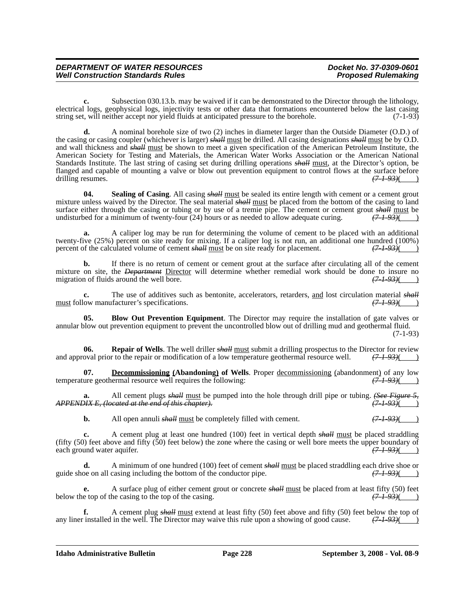**c.** Subsection 030.13.b. may be waived if it can be demonstrated to the Director through the lithology, electrical logs, geophysical logs, injectivity tests or other data that formations encountered below the last casing string set, will neither accept nor vield fluids at anticipated pressure to the borehole. (7-1-93) string set, will neither accept nor yield fluids at anticipated pressure to the borehole.

**d.** A nominal borehole size of two (2) inches in diameter larger than the Outside Diameter (O.D.) of the casing or casing coupler (whichever is larger) *shall* must be drilled. All casing designations *shall* must be by O.D. and wall thickness and *shall* must be shown to meet a given specification of the American Petroleum Institute, the American Society for Testing and Materials, the American Water Works Association or the American National Standards Institute. The last string of casing set during drilling operations *shall* must, at the Director's option, be flanged and capable of mounting a valve or blow out prevention equipment to control flows at the surface before drilling resumes.  $\frac{(7-1-93)}{(2-1-93)}$ drilling resumes.

**04.** Sealing of Casing. All casing *shall* must be sealed its entire length with cement or a cement grout mixture unless waived by the Director. The seal material *shall* must be placed from the bottom of the casing to land surface either through the casing or tubing or by use of a tremie pipe. The cement or cement grout *shall* must be undisturbed for a minimum of twenty-four (24) hours or as needed to allow adequate curing.  $(71.93)($ undisturbed for a minimum of twenty-four (24) hours or as needed to allow adequate curing.

**a.** A caliper log may be run for determining the volume of cement to be placed with an additional twenty-five (25%) percent on site ready for mixing. If a caliper log is not run, an additional one hundred (100%) percent of the calculated volume of cement shall must be on site ready for placement.  $(7-1-93)$ percent of the calculated volume of cement *shall* must be on site ready for placement.

**b.** If there is no return of cement or cement grout at the surface after circulating all of the cement mixture on site, the *Department* Director will determine whether remedial work should be done to insure no migration of fluids around the well bore. migration of fluids around the well bore.  $(7-1-93)$ ( )

**c.** The use of additives such as bentonite, accelerators, retarders, <u>and</u> lost circulation material *shall* low manufacturer's specifications.  $(7-1-93)$ must follow manufacturer's specifications.

**05. Blow Out Prevention Equipment**. The Director may require the installation of gate valves or annular blow out prevention equipment to prevent the uncontrolled blow out of drilling mud and geothermal fluid. (7-1-93)

**06. Repair of Wells**. The well driller *shall* <u>must</u> submit a drilling prospectus to the Director for review oval prior to the repair or modification of a low temperature geothermal resource well.  $(71-93)($ and approval prior to the repair or modification of a low temperature geothermal resource well.

**Decommissioning (Abandoning) of Wells**. Proper <u>decommissioning</u> (abandonment) of any low ermal resource well requires the following:  $(71-93)$  (7.4.93) temperature geothermal resource well requires the following:

**a.** All cement plugs *shall* must be pumped into the hole through drill pipe or tubing. *(See Figure 51X E. (located at the end of this chapter*). *APPENDIX E, (located at the end of this chapter). (7-1-93)*( )

**b.** All open annuli *shall* must be completely filled with cement.  $(7-1-93)$ 

**c.** A cement plug at least one hundred (100) feet in vertical depth *shall* must be placed straddling (fifty (50) feet above and fifty (50) feet below) the zone where the casing or well bore meets the upper boundary of each ground water aquifer.  $(71-93)$ each ground water aquifer.

**d.** A minimum of one hundred (100) feet of cement  $\frac{\hbar}{\hbar}$  must be placed straddling each drive shoe or one on all casing including the bottom of the conductor pipe.  $\frac{(7 + 93)}{(7 + 93)}$ guide shoe on all casing including the bottom of the conductor pipe.

**e.** A surface plug of either cement grout or concrete  $\frac{\text{shell}}{\text{must}}$  be placed from at least fifty (50) feet e top of the casing to the top of the casing. below the top of the casing to the top of the casing.

**f.** A cement plug *shall* <u>must</u> extend at least fifty (50) feet above and fifty (50) feet below the top of installed in the well. The Director may waive this rule upon a showing of good cause.  $(71.93)($ any liner installed in the well. The Director may waive this rule upon a showing of good cause.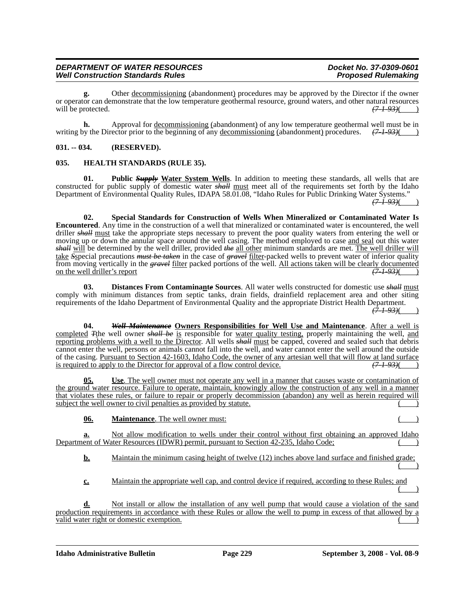**g.** Other decommissioning (abandonment) procedures may be approved by the Director if the owner or operator can demonstrate that the low temperature geothermal resource, ground waters, and other natural resources will be protected.  $\left(7-1-93\right)$  (3.1)

**h.** Approval for <u>decommissioning</u> (abandonment) of any low temperature geothermal well must be in by the Director prior to the beginning of any decommissioning (abandonment) procedures.  $\left(7 - 1 - 93\right)$  (b) writing by the Director prior to the beginning of any <u>decommissioning</u> (abandonment) procedures.

### **031. -- 034. (RESERVED).**

### **035. HEALTH STANDARDS (RULE 35).**

**01. Public** *Supply* **Water System Wells**. In addition to meeting these standards, all wells that are constructed for public supply of domestic water *shall* must meet all of the requirements set forth by the Idaho Department of Environmental Quality Rules, IDAPA 58.01.08, "Idaho Rules for Public Drinking Water Systems." *(7-1-93)*( )

**02. Special Standards for Construction of Wells When Mineralized or Contaminated Water Is Encountered**. Any time in the construction of a well that mineralized or contaminated water is encountered, the well driller *shall* must take the appropriate steps necessary to prevent the poor quality waters from entering the well or moving up or down the annular space around the well casing. The method employed to case and seal out this water *shall* will be determined by the well driller, provided *the* all other minimum standards are met. The well driller will take *S*special precautions *must be taken* in the case of *gravel* filter-packed wells to prevent water of inferior quality from moving vertically in the *gravel* filter packed portions of the well. All actions taken will be clearly documented on the well driller's report *(7-1-93)*( )

**03. Distances From Contaminant***e* **Sources**. All water wells constructed for domestic use *shall* must comply with minimum distances from septic tanks, drain fields, drainfield replacement area and other siting requirements of the Idaho Department of Environmental Quality and the appropriate District Health Department.  $(7 + 93)$ 

**04.** *Well Maintenance* **Owners Responsibilities for Well Use and Maintenance**. After a well is completed *T*the well owner *shall be* is responsible for water quality testing, properly maintaining the well, and reporting problems with a well to the Director. All wells *shall* must be capped, covered and sealed such that debris cannot enter the well, persons or animals cannot fall into the well, and water cannot enter the well around the outside of the casing. <u>Pursuant to Section 42-1603, Idaho Code, the owner of any artesian well that will flow at land surface</u><br>is required to apply to the Director for approval of a flow control device. is required to apply to the Director for approval of a flow control device.

**05. Use**. The well owner must not operate any well in a manner that causes waste or contamination of the ground water resource. Failure to operate, maintain, knowingly allow the construction of any well in a manner that violates these rules, or failure to repair or properly decommission (abandon) any well as herein required will subject the well owner to civil penalties as provided by statute.

**06. Maintenance**. The well owner must:

**a.** Not allow modification to wells under their control without first obtaining an approved Idaho Department of Water Resources (IDWR) permit, pursuant to Section 42-235, Idaho Code;

**b.** Maintain the minimum casing height of twelve (12) inches above land surface and finished grade;  $($ 

**c.** Maintain the appropriate well cap, and control device if required, according to these Rules; and  $($   $)$ 

Not install or allow the installation of any well pump that would cause a violation of the sand production requirements in accordance with these Rules or allow the well to pump in excess of that allowed by a valid water right or domestic exemption.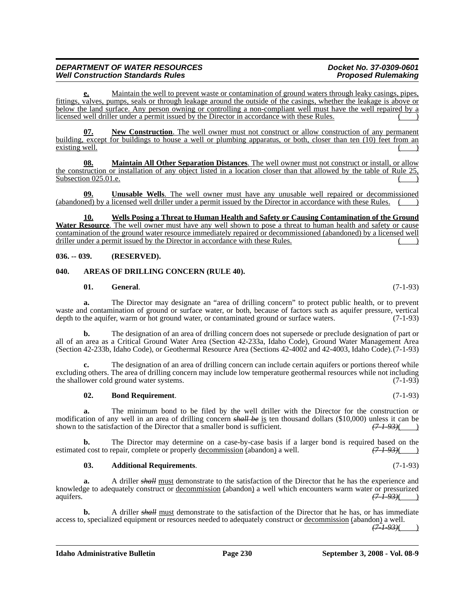**e.** Maintain the well to prevent waste or contamination of ground waters through leaky casings, pipes, fittings, valves, pumps, seals or through leakage around the outside of the casings, whether the leakage is above or below the land surface. Any person owning or controlling a non-compliant well must have the well repaired by a licensed well driller under a permit issued by the Director in accordance with these Rules.

**07. New Construction**. The well owner must not construct or allow construction of any permanent building, except for buildings to house a well or plumbing apparatus, or both, closer than ten (10) feet from an existing well.

**08. Maintain All Other Separation Distances**. The well owner must not construct or install, or allow the construction or installation of any object listed in a location closer than that allowed by the table of Rule 25, Subsection 025.01.e.

**09. Unusable Wells**. The well owner must have any unusable well repaired or decommissioned (abandoned) by a licensed well driller under a permit issued by the Director in accordance with these Rules.

**10. Wells Posing a Threat to Human Health and Safety or Causing Contamination of the Ground Water Resource**. The well owner must have any well shown to pose a threat to human health and safety or cause contamination of the ground water resource immediately repaired or decommissioned (abandoned) by a licensed well driller under a permit issued by the Director in accordance with these Rules.

### **036. -- 039. (RESERVED).**

### **040. AREAS OF DRILLING CONCERN (RULE 40).**

### **01. General**. (7-1-93)

**a.** The Director may designate an "area of drilling concern" to protect public health, or to prevent waste and contamination of ground or surface water, or both, because of factors such as aquifer pressure, vertical depth to the aquifer, warm or hot ground water, or contaminated ground or surface waters. (7-1-93)

**b.** The designation of an area of drilling concern does not supersede or preclude designation of part or all of an area as a Critical Ground Water Area (Section 42-233a, Idaho Code), Ground Water Management Area (Section 42-233b, Idaho Code), or Geothermal Resource Area (Sections 42-4002 and 42-4003, Idaho Code).(7-1-93)

**c.** The designation of an area of drilling concern can include certain aquifers or portions thereof while excluding others. The area of drilling concern may include low temperature geothermal resources while not including the shallower cold ground water systems. (7-1-93)

### **02. Bond Requirement**. (7-1-93)

**a.** The minimum bond to be filed by the well driller with the Director for the construction or modification of any well in an area of drilling concern *shall be* is ten thousand dollars (\$10,000) unless it can be shown to the satisfaction of the Director that a smaller bond is sufficient.  $(71.93)(22.1)$ shown to the satisfaction of the Director that a smaller bond is sufficient.

**b.** The Director may determine on a case-by-case basis if a larger bond is required based on the estimated cost to repair, complete or properly decommission (abandon) a well.  $(7.1-93)$ 

### **03. Additional Requirements**. (7-1-93)

**a.** A driller *shall* must demonstrate to the satisfaction of the Director that he has the experience and knowledge to adequately construct or <u>decommission</u> (abandon) a well which encounters warm water or pressurized aquifers.<br>( $\frac{(71.93)}{(71.93)}$ aquifers. *(7-1-93)*( )

**b.** A driller *shall* must demonstrate to the satisfaction of the Director that he has, or has immediate access to, specialized equipment or resources needed to adequately construct or decommission (abandon) a well.

*(7-1-93)*( )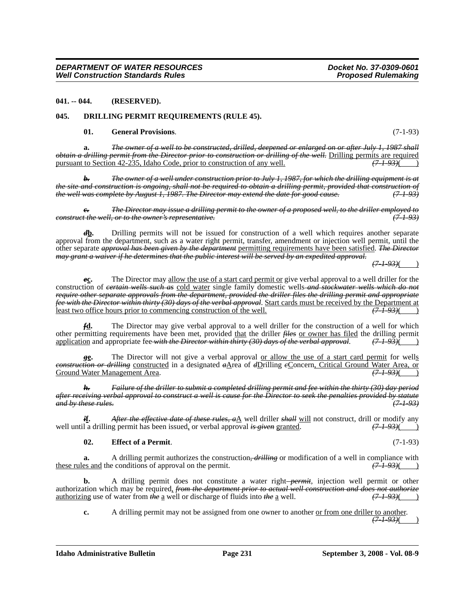### **041. -- 044. (RESERVED).**

### **045. DRILLING PERMIT REQUIREMENTS (RULE 45).**

### **01. General Provisions**. (7-1-93)

**a.** *The owner of a well to be constructed, drilled, deepened or enlarged on or after July 1, 1987 shall obtain a drilling permit from the Director prior to construction or drilling of the well.* Drilling permits are required pursuant to Section 42-235, Idaho Code, prior to construction of any well.  $(7-1-93)($ pursuant to Section 42-235, Idaho Code, prior to construction of any well.

*b. The owner of a well under construction prior to July 1, 1987, for which the drilling equipment is at the site and construction is ongoing, shall not be required to obtain a drilling permit, provided that construction of the well was complete by August 1, 1987. The Director may extend the date for good cause. (7-1-93)*

*c. The Director may issue a drilling permit to the owner of a proposed well, to the driller employed to construct the well, or to the owner's representative.* 

*d***b.** Drilling permits will not be issued for construction of a well which requires another separate approval from the department, such as a water right permit, transfer, amendment or injection well permit, until the other separate *approval has been given by the department* permitting requirements have been satisfied. *The Director may grant a waiver if he determines that the public interest will be served by an expedited approval.*

*(7-1-93)*( )

*e***c.** The Director may allow the use of a start card permit or give verbal approval to a well driller for the construction of *certain wells such as* cold water single family domestic wells *and stockwater wells which do not require other separate approvals from the department, provided the driller files the drilling permit and appropriate fee with the Director within thirty (30) days of the verbal approval.* Start cards must be received by the Department at least two office hours prior to commencing construction of the well.  $(7193)($ least two office hours prior to commencing construction of the well.

*f***d.** The Director may give verbal approval to a well driller for the construction of a well for which other permitting requirements have been met, provided that the driller *files* or owner has filed the drilling permit application and appropriate fee *with the Director within thirty (30) days of the verbal approval*. *(7-1-93)*( )

*g***<sup>e</sup>**. The Director will not give a verbal approval <u>or allow the use of a start card permit</u> for wells *construction or drilling* constructed in a designated  $a\Delta$ rea of  $d$ Drilling *e*Concern, Critical Ground Water Area, or Ground Water Area, or  $\left(7,1-93\right)$ **Ground Water Management Area.** 

*h. Failure of the driller to submit a completed drilling permit and fee within the thirty (30) day period after receiving verbal approval to construct a well is cause for the Director to seek the penalties provided by statute and by these rules. (7-1-93)*

*i***f.** *After the effective date of these rules, a*A well driller *shall* will not construct, drill or modify any and a drilling permit has been issued, or verbal approval *is given* granted.  $(71.93)()$ well until a drilling permit has been issued, or verbal approval *is given* granted.

### **02. Effect of a Permit**. (7-1-93)

**a.** A drilling permit authorizes the construction, *drilling* or modification of a well in compliance with these rules and the conditions of approval on the permit. *(7-1-93)*( )

**b.** A drilling permit does not constitute a water right-*permit*, injection well permit or other authorization which may be required, *from the department prior to actual well construction and does not authorize*<br>authorizing use of water from the a well or discharge of fluids into the a well. authorizing use of water from *the* a well or discharge of fluids into *the* a well.

**c.** A drilling permit may not be assigned from one owner to another <u>or from one driller to another</u>. *(7-1-93)*( )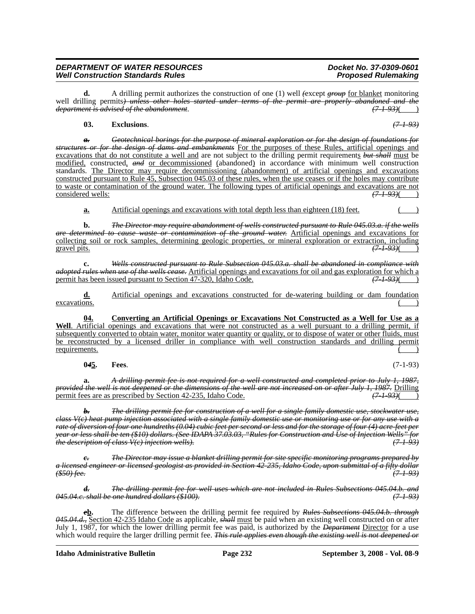**d.** A drilling permit authorizes the construction of one (1) well *(except <i>group*) for blanket monitoring well drilling permits*) unless other holes started under terms of the permit are properly abandoned and the department is advised of the abandonment*. *(7-1-93)*( )

### **03. Exclusions**. *(7-1-93)*

*a. Geotechnical borings for the purpose of mineral exploration or for the design of foundations for structures or for the design of dams and embankments* For the purposes of these Rules, artificial openings and excavations that do not constitute a well and are not subject to the drilling permit requirements *but shall* must be modified, constructed, *and* or decommissioned (abandoned) in accordance with minimum well construction standards. The Director may require decommissioning (abandonment) of artificial openings and excavations constructed pursuant to Rule 45, Subsection 045.03 of these rules, when the use ceases or if the holes may contribute to waste or contamination of the ground water. The following types of artificial openings and excavations are not considered wells:  $(7193)$ 

**a.** Artificial openings and excavations with total depth less than eighteen (18) feet. ( )

**b.** *The Director may require abandonment of wells constructed pursuant to Rule 045.03.a. if the wells are determined to cause waste or contamination of the ground water.* Artificial openings and excavations for collecting soil or rock samples, determining geologic properties, or mineral exploration or extraction, including gravel pits. *(7-1-93)*( )

**c.** *Wells constructed pursuant to Rule Subsection 045.03.a. shall be abandoned in compliance with adopted rules when use of the wells cease*. Artificial openings and excavations for oil and gas exploration for which a permit has been issued pursuant to Section 47-320, Idaho Code.  $(7-1-93)($ permit has been issued pursuant to Section 47-320, Idaho Code.

**d.** Artificial openings and excavations constructed for de-watering building or dam foundation  $\alpha$  excavations.  $($ 

**04. Converting an Artificial Openings or Excavations Not Constructed as a Well for Use as a Well**. Artificial openings and excavations that were not constructed as a well pursuant to a drilling permit, if subsequently converted to obtain water, monitor water quantity or quality, or to dispose of water or other fluids, must be reconstructed by a licensed driller in compliance with well construction standards and drilling permit requirements.

**0***4***5. Fees**. (7-1-93)

**a.** *A drilling permit fee is not required for a well constructed and completed prior to July 1, 1987, provided the well is not deepened or the dimensions of the well are not increased on or after July 1, 1987.* Drilling permit fees are as prescribed by Section 42-235. Idaho Code. (7-1-93)( (7-1-93)( ) permit fees are as prescribed by Section 42-235, Idaho Code.

*b. The drilling permit fee for construction of a well for a single family domestic use, stockwater use, class V(c) heat pump injection associated with a single family domestic use or monitoring use or for any use with a rate of diversion of four one hundreths (0.04) cubic feet per second or less and for the storage of four (4) acre-feet per year or less shall be ten (\$10) dollars. (See IDAPA 37.03.03, "Rules for Construction and Use of Injection Wells" for the description of class V(c) injection wells).* 

*<i>The Director may issue a blanket drilling permit for site specific monitoring programs prepared by a licensed engineer or licensed geologist as provided in Section 42-235, Idaho Code, upon submittal of a fifty dollar (\$50) fee. (7-1-93)*

*d. The drilling permit fee for well uses which are not included in Rules Subsections 045.04.b. and 045.04.c. shall be one hundred dollars (\$100). (7-1-93)*

*e***b.** The difference between the drilling permit fee required by *Rules Subsections 045.04.b. through 045.04.d.,* Section 42-235 Idaho Code as applicable, *shall* must be paid when an existing well constructed on or after July 1, 1987, for which the lower drilling permit fee was paid, is authorized by the *Department* Director for a use which would require the larger drilling permit fee. *This rule applies even though the existing well is not deepened or*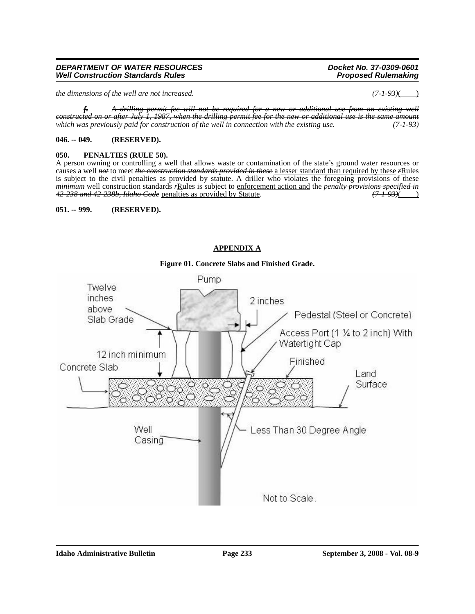# **051. -- 999. (RESERVED).**

# **APPENDIX A**

# Pump Twelve inches 2 inches above Pedestal (Steel or Concrete) Slab Grade Access Port (1 1/4 to 2 inch) With Watertight Cap 12 inch minimum Finished Concrete Slab Land Surface Ö. Less Than 30 Degree Angle Well Casing

# **Figure 01. Concrete Slabs and Finished Grade.**

# *f. A drilling permit fee will not be required for a new or additional use from an existing*

**Well Construction Standards Rules** 

*constructed on or after July 1, 1987, when the drilling permit fee for the new or additional use is the same amount which was previously paid for construction of the well in connection with the existing use. (7-1-93)*

# **046. -- 049. (RESERVED).**

## **050. PENALTIES (RULE 50).**

A person owning or controlling a well that allows waste or contamination of the state's ground water resources or causes a well *not* to meet *the construction standards provided in these* a lesser standard than required by these *r*Rules is subject to the civil penalties as provided by statute. A driller who violates the foregoing provisions of these *minimum* well construction standards *r*Rules is subject to enforcement action and the *penalty provisions specified in 42-238 and 42-238b, Idaho Code* penalties as provided by Statute. *(7-1-93)*( )

*DEPARTMENT OF WATER RESOURCES Docket No. 37-0309-0601*

*the dimensions of the well are not increased. (7-1-93)*( )

Not to Scale.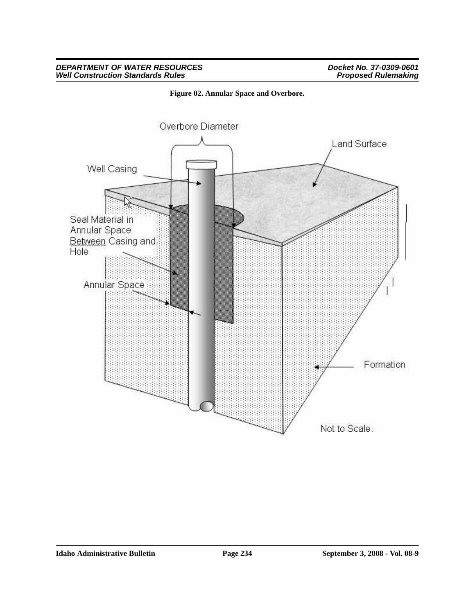### *DEPARTMENT OF WATER RESOURCES Docket No. 37-0309-0601 Well Construction Standards Rules Proposed Rulemaking*



**Figure 02. Annular Space and Overbore.**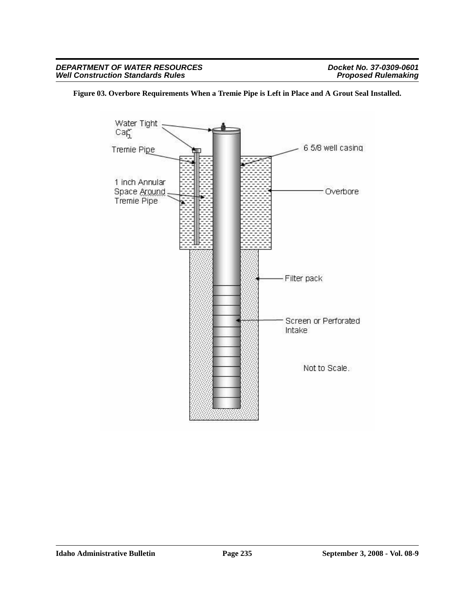### **Figure 03. Overbore Requirements When a Tremie Pipe is Left in Place and A Grout Seal Installed.**

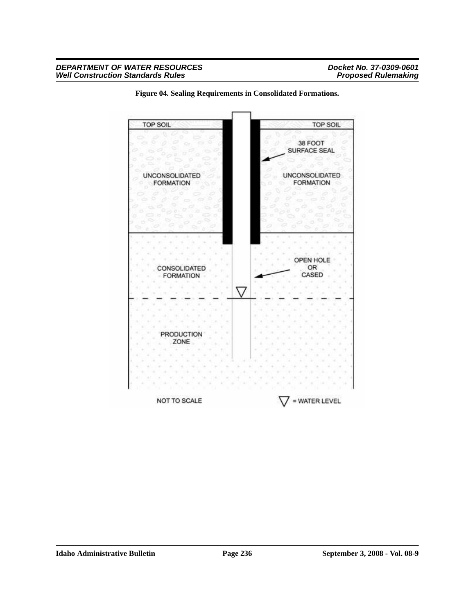

**Figure 04. Sealing Requirements in Consolidated Formations.**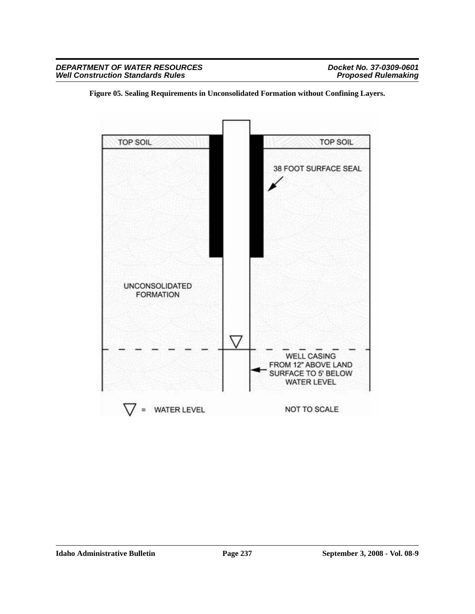

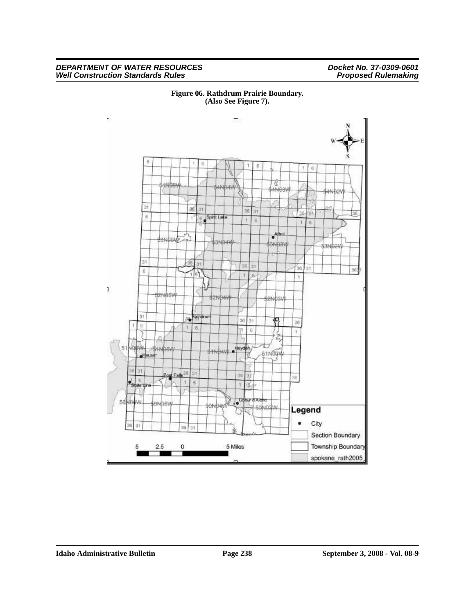### *DEPARTMENT OF WATER RESOURCES Docket No. 37-0309-0601 Well Construction Standards Rules Proposed Rulemaking*



**Figure 06. Rathdrum Prairie Boundary. (Also See Figure 7).**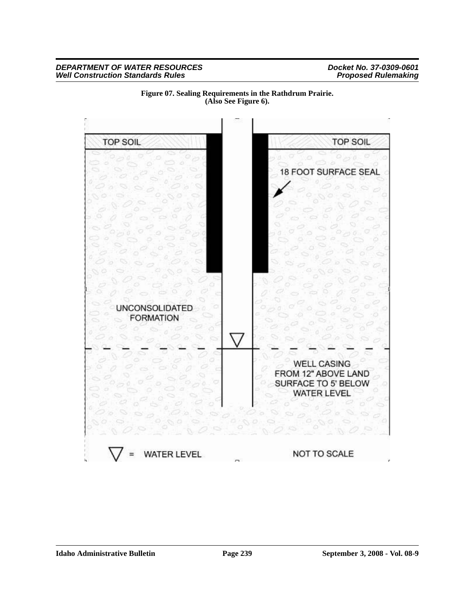

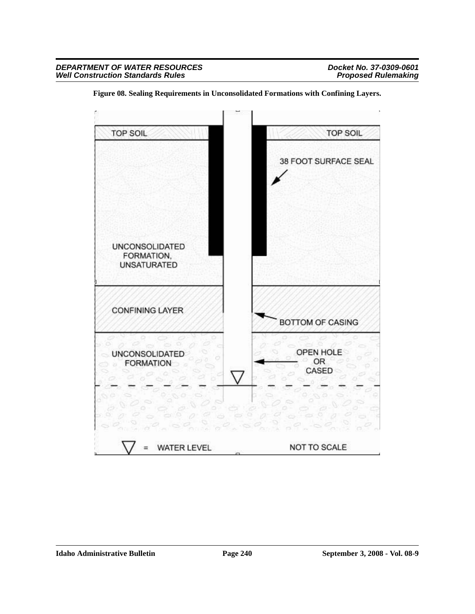

**Figure 08. Sealing Requirements in Unconsolidated Formations with Confining Layers.**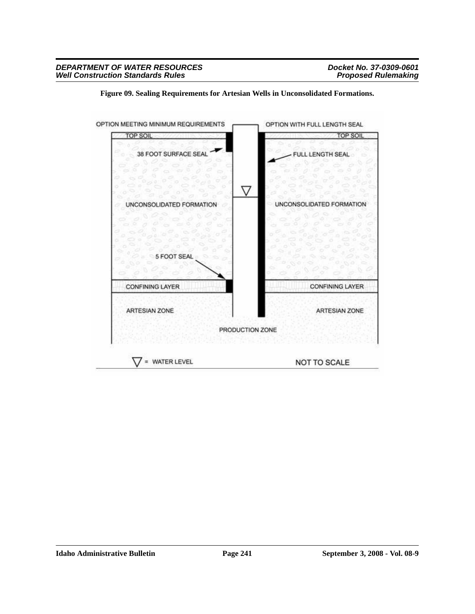

**Figure 09. Sealing Requirements for Artesian Wells in Unconsolidated Formations.**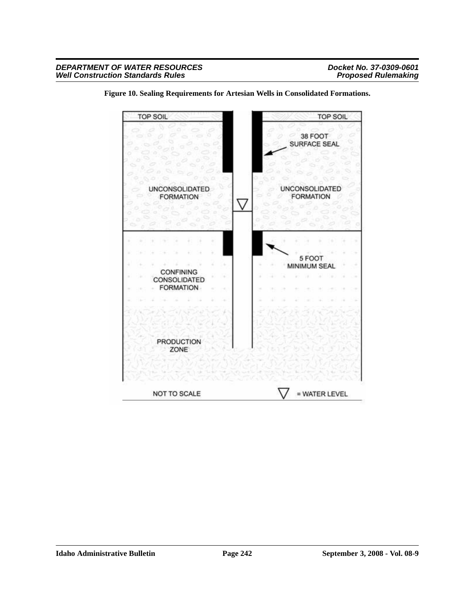

**Figure 10. Sealing Requirements for Artesian Wells in Consolidated Formations.**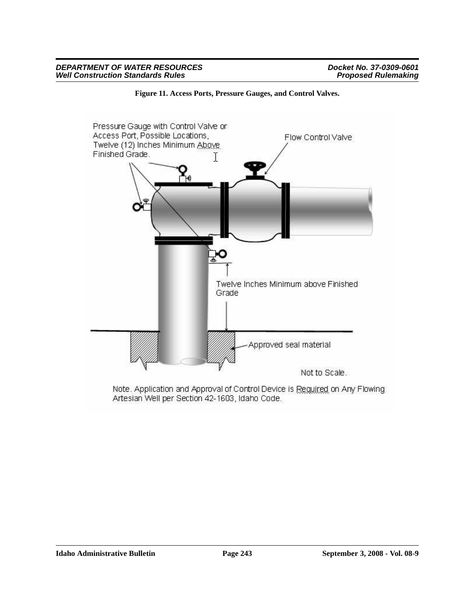

**Figure 11. Access Ports, Pressure Gauges, and Control Valves.**

Note. Application and Approval of Control Device is Required on Any Flowing Artesian Well per Section 42-1603, Idaho Code.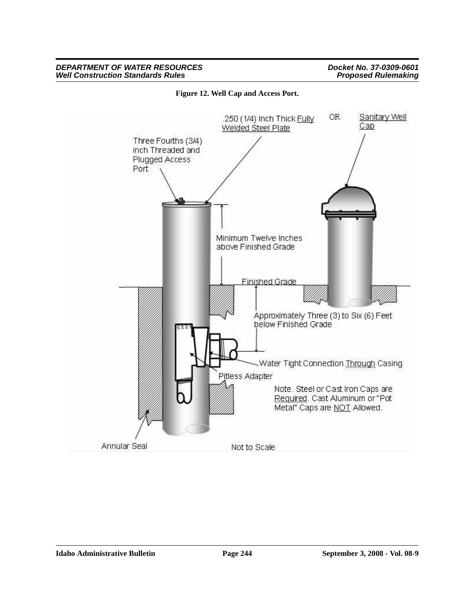

**Figure 12. Well Cap and Access Port.**